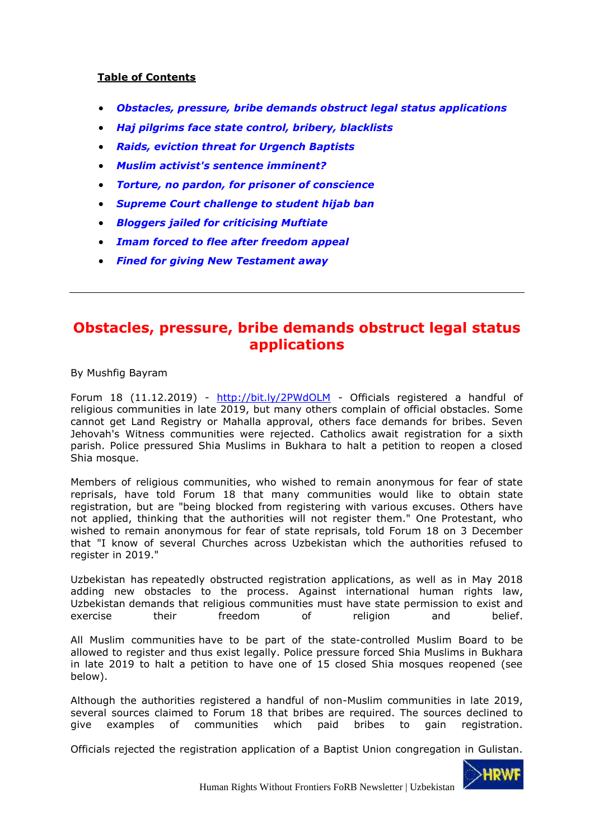# **Table of Contents**

- *[Obstacles, pressure, bribe demands obstruct legal status applications](#page-0-0)*
- *[Haj pilgrims face state control, bribery, blacklists](#page-8-0)*
- *[Raids, eviction threat for Urgench Baptists](#page-13-0)*
- *[Muslim activist's sentence imminent?](#page-18-0)*
- *[Torture, no pardon, for prisoner of conscience](#page-23-0)*
- *[Supreme Court challenge to student hijab ban](#page-27-0)*
- *[Bloggers jailed for criticising Muftiate](#page-34-0)*
- *[Imam forced to flee after freedom appeal](#page-38-0)*
- *[Fined for giving New Testament away](#page-44-0)*

# <span id="page-0-0"></span>**Obstacles, pressure, bribe demands obstruct legal status applications**

By Mushfig Bayram

Forum 18 (11.12.2019) - <http://bit.ly/2PWdOLM> - Officials registered a handful of religious communities in late 2019, but many others complain of official obstacles. Some cannot get Land Registry or Mahalla approval, others face demands for bribes. Seven Jehovah's Witness communities were rejected. Catholics await registration for a sixth parish. Police pressured Shia Muslims in Bukhara to halt a petition to reopen a closed Shia mosque.

Members of religious communities, who wished to remain anonymous for fear of state reprisals, have told Forum 18 that many communities would like to obtain state registration, but are "being blocked from registering with various excuses. Others have not applied, thinking that the authorities will not register them." One Protestant, who wished to remain anonymous for fear of state reprisals, told Forum 18 on 3 December that "I know of several Churches across Uzbekistan which the authorities refused to register in 2019."

Uzbekistan has [repeatedly obstructed registration applications, as well as in May 2018](http://www.forum18.org/archive.php?article_id=2396)  [adding new obstacles to the process.](http://www.forum18.org/archive.php?article_id=2396) Against international human rights law, Uzbekistan [demands that religious communities must have state permission to exist and](http://www.forum18.org/archive.php?article_id=2314)  [exercise their freedom of religion and belief.](http://www.forum18.org/archive.php?article_id=2314)

All Muslim communities [have to be part of the state-controlled Muslim Board to be](http://www.forum18.org/archive.php?article_id=2314)  [allowed to register and thus exist legally.](http://www.forum18.org/archive.php?article_id=2314) Police pressure forced Shia Muslims in Bukhara in late 2019 to halt a petition to have one of 15 closed Shia mosques reopened (see below).

Although the authorities registered a handful of non-Muslim communities in late 2019, several sources claimed to Forum 18 that bribes are required. The sources declined to give examples of communities which paid bribes to gain registration.

Officials rejected the registration application of a Baptist Union congregation in Gulistan.

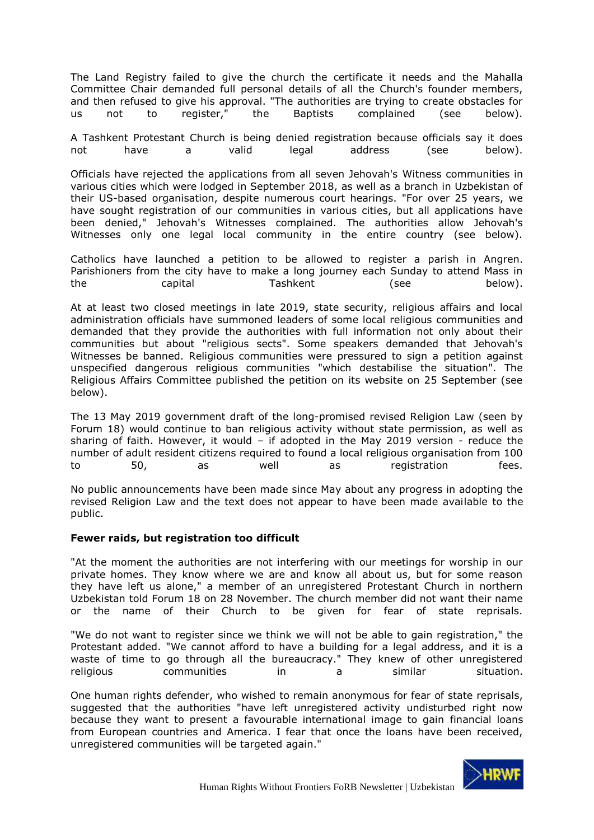The Land Registry failed to give the church the certificate it needs and the Mahalla Committee Chair demanded full personal details of all the Church's founder members, and then refused to give his approval. "The authorities are trying to create obstacles for us not to register," the Baptists complained (see below).

A Tashkent Protestant Church is being denied registration because officials say it does not have a valid legal address (see below).

Officials have rejected the applications from all seven Jehovah's Witness communities in various cities which were lodged in September 2018, as well as a branch in Uzbekistan of their US-based organisation, despite numerous court hearings. "For over 25 years, we have sought registration of our communities in various cities, but all applications have been denied," Jehovah's Witnesses complained. The authorities allow Jehovah's Witnesses only one legal local community in the entire country (see below).

Catholics have launched a petition to be allowed to register a parish in Angren. Parishioners from the city have to make a long journey each Sunday to attend Mass in the capital Tashkent (see below).

At at least two closed meetings in late 2019, state security, religious affairs and local administration officials have summoned leaders of some local religious communities and demanded that they provide the authorities with full information not only about their communities but about "religious sects". Some speakers demanded that Jehovah's Witnesses be banned. Religious communities were pressured to sign a petition against unspecified dangerous religious communities "which destabilise the situation". The Religious Affairs Committee published the petition on its website on 25 September (see below).

The 13 May 2019 government draft of the long-promised revised Religion Law (seen by Forum 18) would continue to ban religious activity without state permission, as well as sharing of faith. However, it would  $-$  if adopted in the May 2019 version - reduce the number of adult resident citizens required to found a local religious organisation from 100 to 50, as well as registration fees.

No public announcements have been made since May about any progress in adopting the revised Religion Law and the text does not appear to have been made available to the public.

#### **Fewer raids, but registration too difficult**

"At the moment the authorities are not interfering with our meetings for worship in our private homes. They know where we are and know all about us, but for some reason they have left us alone," a member of an unregistered Protestant Church in northern Uzbekistan told Forum 18 on 28 November. The church member did not want their name or the name of their Church to be given for fear of state reprisals.

"We do not want to register since we think we will not be able to gain registration," the Protestant added. "We cannot afford to have a building for a legal address, and it is a waste of time to go through all the bureaucracy." They knew of other unregistered religious communities in a similar situation.

One human rights defender, who wished to remain anonymous for fear of state reprisals, suggested that the authorities "have left unregistered activity undisturbed right now because they want to present a favourable international image to gain financial loans from European countries and America. I fear that once the loans have been received, unregistered communities will be targeted again."

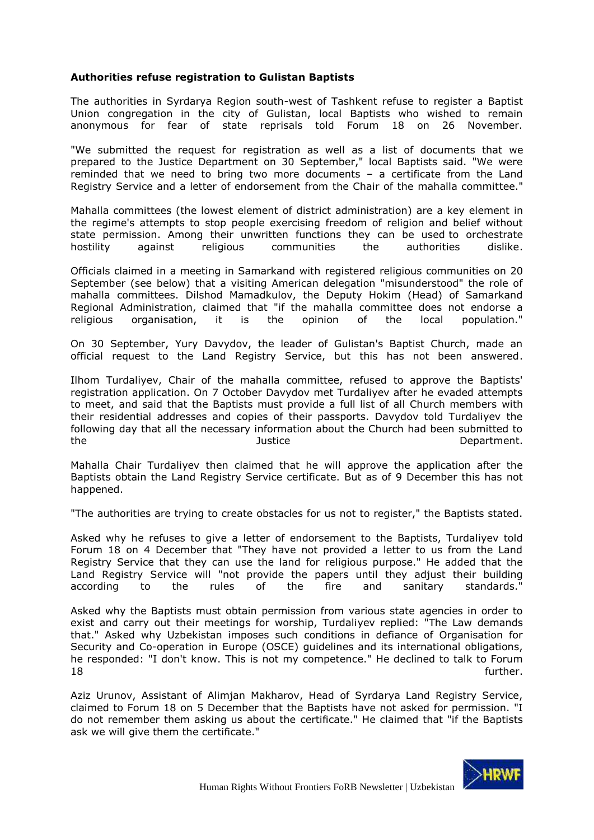# **Authorities refuse registration to Gulistan Baptists**

The authorities in Syrdarya Region south-west of Tashkent refuse to register a Baptist Union congregation in the city of Gulistan, local Baptists who wished to remain anonymous for fear of state reprisals told Forum 18 on 26 November.

"We submitted the request for registration as well as a list of documents that we prepared to the Justice Department on 30 September," local Baptists said. "We were reminded that we need to bring two more documents – a certificate from the Land Registry Service and a letter of endorsement from the Chair of the mahalla committee."

Mahalla committees (the lowest element of district administration) are a [key element in](http://www.forum18.org/archive.php?article_id=2314)  [the regime's attempts to stop people exercising freedom of religion and belief without](http://www.forum18.org/archive.php?article_id=2314)  [state permission.](http://www.forum18.org/archive.php?article_id=2314) Among their unwritten functions they can be used [to orchestrate](http://www.forum18.org/archive.php?article_id=2515)  [hostility against religious communities the authorities dislike.](http://www.forum18.org/archive.php?article_id=2515)

Officials claimed in a meeting in Samarkand with registered religious communities on 20 September (see below) that a visiting American delegation "misunderstood" the role of mahalla committees. Dilshod Mamadkulov, the Deputy Hokim (Head) of Samarkand Regional Administration, claimed that "if the mahalla committee does not endorse a religious organisation, it is the opinion of the local population."

On 30 September, Yury Davydov, the leader of Gulistan's Baptist Church, made an official request to the Land Registry Service, but this has not been answered.

Ilhom Turdaliyev, Chair of the mahalla committee, refused to approve the Baptists' registration application. On 7 October Davydov met Turdaliyev after he evaded attempts to meet, and said that the Baptists must provide a full list of all Church members with their residential addresses and copies of their passports. Davydov told Turdaliyev the following day that all the necessary information about the Church had been submitted to the **Internal and Solution** Justice **Container and Department.** 

Mahalla Chair Turdaliyev then claimed that he will approve the application after the Baptists obtain the Land Registry Service certificate. But as of 9 December this has not happened.

"The authorities are trying to create obstacles for us not to register," the Baptists stated.

Asked why he refuses to give a letter of endorsement to the Baptists, Turdaliyev told Forum 18 on 4 December that "They have not provided a letter to us from the Land Registry Service that they can use the land for religious purpose." He added that the Land Registry Service will "not provide the papers until they adjust their building according to the rules of the fire and sanitary standards."

Asked why the Baptists must obtain permission from various state agencies in order to exist and carry out their meetings for worship, Turdaliyev replied: "The Law demands that." Asked why Uzbekistan imposes such conditions in defiance of Organisation for Security and Co-operation in Europe (OSCE) guidelines and its international obligations, he responded: "I don't know. This is not my competence." He declined to talk to Forum **18 further.** 

Aziz Urunov, Assistant of Alimjan Makharov, Head of Syrdarya Land Registry Service, claimed to Forum 18 on 5 December that the Baptists have not asked for permission. "I do not remember them asking us about the certificate." He claimed that "if the Baptists ask we will give them the certificate."

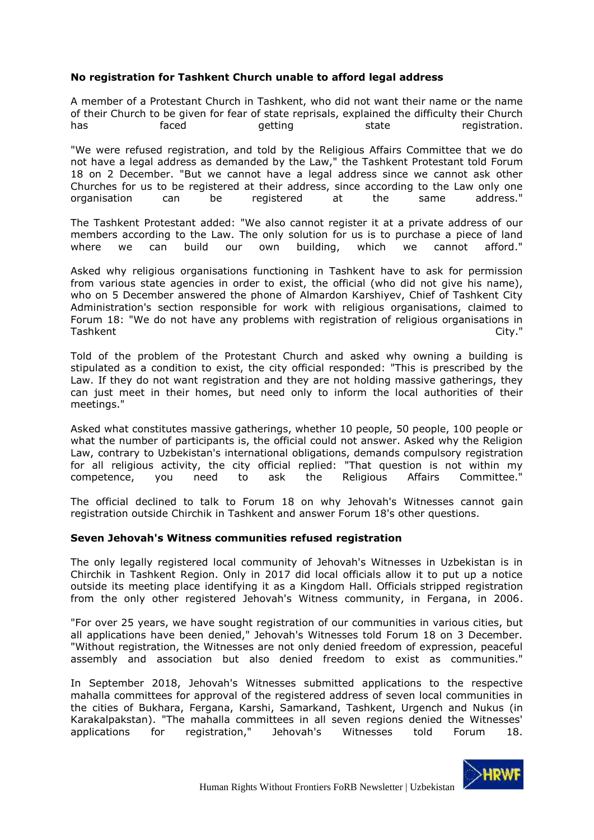# **No registration for Tashkent Church unable to afford legal address**

A member of a Protestant Church in Tashkent, who did not want their name or the name of their Church to be given for fear of state reprisals, explained the difficulty their Church has faced getting state registration.

"We were refused registration, and told by the Religious Affairs Committee that we do not have a legal address as demanded by the Law," the Tashkent Protestant told Forum 18 on 2 December. "But we cannot have a legal address since we cannot ask other Churches for us to be registered at their address, since according to the Law only one organisation can be registered at the same address."

The Tashkent Protestant added: "We also cannot register it at a private address of our members according to the Law. The only solution for us is to purchase a piece of land where we can build our own building, which we cannot afford."

Asked why religious organisations functioning in Tashkent have to ask for permission from various state agencies in order to exist, the official (who did not give his name), who on 5 December answered the phone of Almardon Karshiyev, Chief of Tashkent City Administration's section responsible for work with religious organisations, claimed to Forum 18: "We do not have any problems with registration of religious organisations in Tashkent City."

Told of the problem of the Protestant Church and asked why owning a building is stipulated as a condition to exist, the city official responded: "This is prescribed by the Law. If they do not want registration and they are not holding massive gatherings, they can just meet in their homes, but need only to inform the local authorities of their meetings."

Asked what constitutes massive gatherings, whether 10 people, 50 people, 100 people or what the number of participants is, the official could not answer. Asked why the Religion Law, contrary to Uzbekistan's international obligations, demands compulsory registration for all religious activity, the city official replied: "That question is not within my competence, you need to ask the Religious Affairs Committee."

The official declined to talk to Forum 18 on why Jehovah's Witnesses cannot gain registration outside Chirchik in Tashkent and answer Forum 18's other questions.

#### **Seven Jehovah's Witness communities refused registration**

The only legally registered local community of Jehovah's Witnesses in Uzbekistan is in Chirchik in Tashkent Region. Only in 2017 did local officials allow it to put up a notice outside its meeting place identifying it as a Kingdom Hall. Officials [stripped registration](http://www.forum18.org/archive.php?article_id=837)  [from the only other registered Jehovah's Witness community, in Fergana, in 2006.](http://www.forum18.org/archive.php?article_id=837)

"For over 25 years, we have sought registration of our communities in various cities, but all applications have been denied," Jehovah's Witnesses told Forum 18 on 3 December. "Without registration, the Witnesses are not only denied freedom of expression, peaceful assembly and association but also denied freedom to exist as communities."

In September 2018, Jehovah's Witnesses submitted applications to the respective mahalla committees for approval of the registered address of seven local communities in the cities of Bukhara, Fergana, Karshi, Samarkand, Tashkent, Urgench and Nukus (in Karakalpakstan). "The mahalla committees in all seven regions denied the Witnesses' applications for registration," Jehovah's Witnesses told Forum 18.

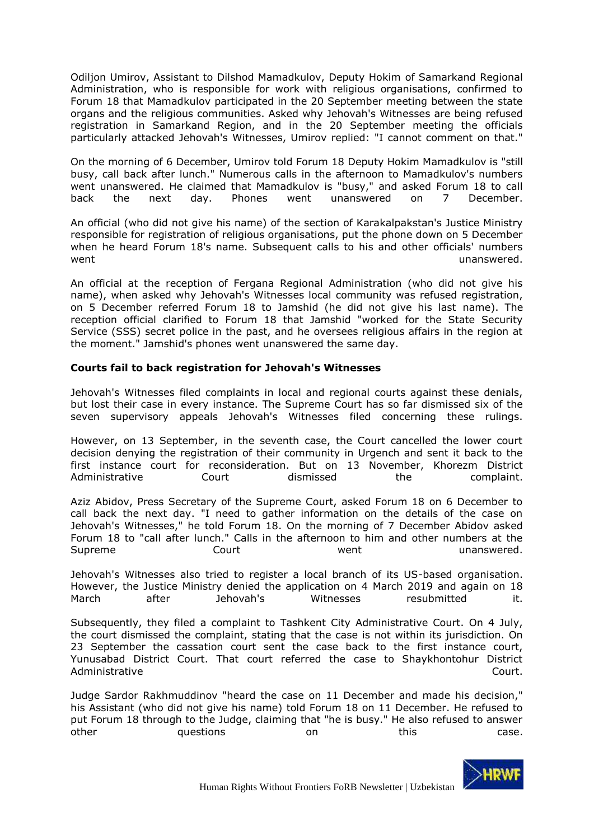Odiljon Umirov, Assistant to Dilshod Mamadkulov, Deputy Hokim of Samarkand Regional Administration, who is responsible for work with religious organisations, confirmed to Forum 18 that Mamadkulov participated in the 20 September meeting between the state organs and the religious communities. Asked why Jehovah's Witnesses are being refused registration in Samarkand Region, and in the 20 September meeting the officials particularly attacked Jehovah's Witnesses, Umirov replied: "I cannot comment on that."

On the morning of 6 December, Umirov told Forum 18 Deputy Hokim Mamadkulov is "still busy, call back after lunch." Numerous calls in the afternoon to Mamadkulov's numbers went unanswered. He claimed that Mamadkulov is "busy," and asked Forum 18 to call back the next day. Phones went unanswered on 7 December.

An official (who did not give his name) of the section of Karakalpakstan's Justice Ministry responsible for registration of religious organisations, put the phone down on 5 December when he heard Forum 18's name. Subsequent calls to his and other officials' numbers went went were unanswered.

An official at the reception of Fergana Regional Administration (who did not give his name), when asked why Jehovah's Witnesses local community was refused registration, on 5 December referred Forum 18 to Jamshid (he did not give his last name). The reception official clarified to Forum 18 that Jamshid "worked for the State Security Service (SSS) secret police in the past, and he oversees religious affairs in the region at the moment." Jamshid's phones went unanswered the same day.

# **Courts fail to back registration for Jehovah's Witnesses**

Jehovah's Witnesses filed complaints in local and regional courts against these denials, but lost their case in every instance. The Supreme Court has so far dismissed six of the seven supervisory appeals Jehovah's Witnesses filed concerning these rulings.

However, on 13 September, in the seventh case, the Court cancelled the lower court decision denying the registration of their community in Urgench and sent it back to the first instance court for reconsideration. But on 13 November, Khorezm District Administrative Court dismissed the complaint.

Aziz Abidov, Press Secretary of the Supreme Court, asked Forum 18 on 6 December to call back the next day. "I need to gather information on the details of the case on Jehovah's Witnesses," he told Forum 18. On the morning of 7 December Abidov asked Forum 18 to "call after lunch." Calls in the afternoon to him and other numbers at the Supreme **Court** Court Went Went unanswered.

Jehovah's Witnesses also tried to register a local branch of its US-based organisation. However, the Justice Ministry denied the application on 4 March 2019 and again on 18 March after Jehovah's Witnesses resubmitted it.

Subsequently, they filed a complaint to Tashkent City Administrative Court. On 4 July, the court dismissed the complaint, stating that the case is not within its jurisdiction. On 23 September the cassation court sent the case back to the first instance court, Yunusabad District Court. That court referred the case to Shaykhontohur District Administrative Court.

Judge Sardor Rakhmuddinov "heard the case on 11 December and made his decision," his Assistant (who did not give his name) told Forum 18 on 11 December. He refused to put Forum 18 through to the Judge, claiming that "he is busy." He also refused to answer other **our all of the case.** On this case.

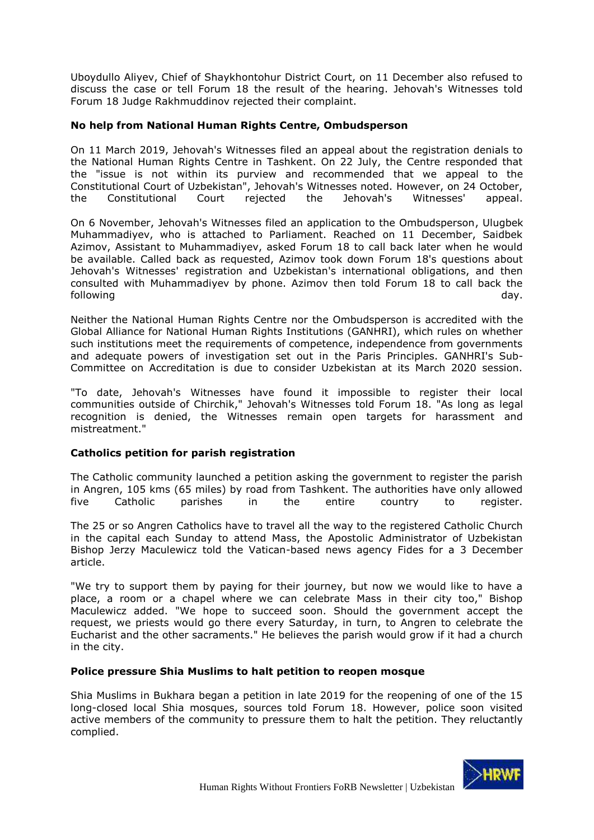Uboydullo Aliyev, Chief of Shaykhontohur District Court, on 11 December also refused to discuss the case or tell Forum 18 the result of the hearing. Jehovah's Witnesses told Forum 18 Judge Rakhmuddinov rejected their complaint.

# **No help from National Human Rights Centre, Ombudsperson**

On 11 March 2019, Jehovah's Witnesses filed an appeal about the registration denials to the National Human Rights Centre in Tashkent. On 22 July, the Centre responded that the "issue is not within its purview and recommended that we appeal to the Constitutional Court of Uzbekistan", Jehovah's Witnesses noted. However, on 24 October, the Constitutional Court rejected the Jehovah's Witnesses' appeal.

On 6 November, Jehovah's Witnesses filed an application to the Ombudsperson, Ulugbek Muhammadiyev, who is attached to Parliament. Reached on 11 December, Saidbek Azimov, Assistant to Muhammadiyev, asked Forum 18 to call back later when he would be available. Called back as requested, Azimov took down Forum 18's questions about Jehovah's Witnesses' registration and Uzbekistan's international obligations, and then consulted with Muhammadiyev by phone. Azimov then told Forum 18 to call back the following day.

Neither the National Human Rights Centre nor the Ombudsperson is accredited with the Global Alliance for National Human Rights Institutions (GANHRI), which rules on whether such institutions meet the requirements of competence, independence from governments and adequate powers of investigation set out in the Paris Principles. GANHRI's Sub-Committee on Accreditation is due to consider Uzbekistan at its March 2020 session.

"To date, Jehovah's Witnesses have found it impossible to register their local communities outside of Chirchik," Jehovah's Witnesses told Forum 18. "As long as legal recognition is denied, the Witnesses remain open targets for harassment and mistreatment."

# **Catholics petition for parish registration**

The Catholic community launched a petition asking the government to register the parish in Angren, 105 kms (65 miles) by road from Tashkent. The authorities have only allowed five Catholic parishes in the entire country to register.

The 25 or so Angren Catholics have to travel all the way to the registered Catholic Church in the capital each Sunday to attend Mass, the Apostolic Administrator of Uzbekistan Bishop Jerzy Maculewicz told the Vatican-based news agency Fides for a 3 December article.

"We try to support them by paying for their journey, but now we would like to have a place, a room or a chapel where we can celebrate Mass in their city too," Bishop Maculewicz added. "We hope to succeed soon. Should the government accept the request, we priests would go there every Saturday, in turn, to Angren to celebrate the Eucharist and the other sacraments." He believes the parish would grow if it had a church in the city.

#### **Police pressure Shia Muslims to halt petition to reopen mosque**

Shia Muslims in Bukhara began a petition in late 2019 for the reopening of one of the 15 long-closed local Shia mosques, sources told Forum 18. However, police soon visited active members of the community to pressure them to halt the petition. They reluctantly complied.

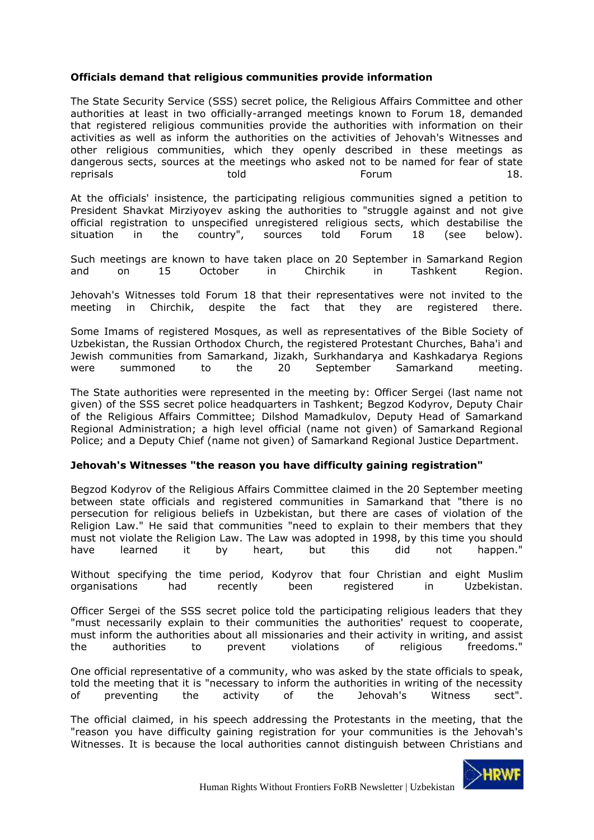# **Officials demand that religious communities provide information**

The State Security Service (SSS) secret police, the Religious Affairs Committee and other authorities at least in two officially-arranged meetings known to Forum 18, demanded that registered religious communities provide the authorities with information on their activities as well as inform the authorities on the activities of Jehovah's Witnesses and other religious communities, which they openly described in these meetings as dangerous sects, sources at the meetings who asked not to be named for fear of state reprisals told Forum 18.

At the officials' insistence, the participating religious communities signed a petition to President Shavkat Mirziyoyev asking the authorities to "struggle against and not give official registration to unspecified unregistered religious sects, which destabilise the situation in the country", sources told Forum 18 (see below).

Such meetings are known to have taken place on 20 September in Samarkand Region and on 15 October in Chirchik in Tashkent Region.

Jehovah's Witnesses told Forum 18 that their representatives were not invited to the meeting in Chirchik, despite the fact that they are registered there.

Some Imams of registered Mosques, as well as representatives of the Bible Society of Uzbekistan, the Russian Orthodox Church, the registered Protestant Churches, Baha'i and Jewish communities from Samarkand, Jizakh, Surkhandarya and Kashkadarya Regions were summoned to the 20 September Samarkand meeting.

The State authorities were represented in the meeting by: Officer Sergei (last name not given) of the SSS secret police headquarters in Tashkent; Begzod Kodyrov, Deputy Chair of the Religious Affairs Committee; Dilshod Mamadkulov, Deputy Head of Samarkand Regional Administration; a high level official (name not given) of Samarkand Regional Police; and a Deputy Chief (name not given) of Samarkand Regional Justice Department.

### **Jehovah's Witnesses "the reason you have difficulty gaining registration"**

Begzod Kodyrov of the Religious Affairs Committee claimed in the 20 September meeting between state officials and registered communities in Samarkand that "there is no persecution for religious beliefs in Uzbekistan, but there are cases of violation of the Religion Law." He said that communities "need to explain to their members that they must not violate the Religion Law. The Law was adopted in 1998, by this time you should have learned it by heart, but this did not happen."

Without specifying the time period, Kodyrov that four Christian and eight Muslim organisations had recently been registered in Uzbekistan.

Officer Sergei of the SSS secret police told the participating religious leaders that they "must necessarily explain to their communities the authorities' request to cooperate, must inform the authorities about all missionaries and their activity in writing, and assist the authorities to prevent violations of religious freedoms."

One official representative of a community, who was asked by the state officials to speak, told the meeting that it is "necessary to inform the authorities in writing of the necessity of preventing the activity of the Jehovah's Witness sect".

The official claimed, in his speech addressing the Protestants in the meeting, that the "reason you have difficulty gaining registration for your communities is the Jehovah's Witnesses. It is because the local authorities cannot distinguish between Christians and

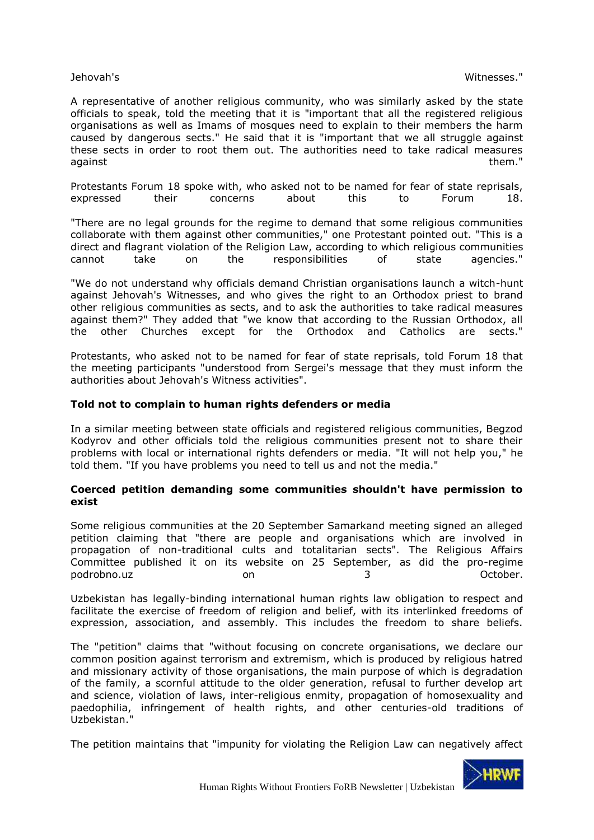A representative of another religious community, who was similarly asked by the state officials to speak, told the meeting that it is "important that all the registered religious organisations as well as Imams of mosques need to explain to their members the harm caused by dangerous sects." He said that it is "important that we all struggle against these sects in order to root them out. The authorities need to take radical measures against them." The second contract of the second contract of them." The second contract of them."

Protestants Forum 18 spoke with, who asked not to be named for fear of state reprisals, expressed their concerns about this to Forum 18.

"There are no legal grounds for the regime to demand that some religious communities collaborate with them against other communities," one Protestant pointed out. "This is a direct and flagrant violation of the Religion Law, according to which religious communities cannot take on the responsibilities of state agencies."

"We do not understand why officials demand Christian organisations launch a witch-hunt against Jehovah's Witnesses, and who gives the right to an Orthodox priest to brand other religious communities as sects, and to ask the authorities to take radical measures against them?" They added that "we know that according to the Russian Orthodox, all the other Churches except for the Orthodox and Catholics are sects."

Protestants, who asked not to be named for fear of state reprisals, told Forum 18 that the meeting participants "understood from Sergei's message that they must inform the authorities about Jehovah's Witness activities".

#### **Told not to complain to human rights defenders or media**

In a similar meeting between state officials and registered religious communities, Begzod Kodyrov and other officials told the religious communities present not to share their problems with local or international rights defenders or media. "It will not help you," he told them. "If you have problems you need to tell us and not the media."

#### **Coerced petition demanding some communities shouldn't have permission to exist**

Some religious communities at the 20 September Samarkand meeting signed an alleged petition claiming that "there are people and organisations which are involved in propagation of non-traditional cults and totalitarian sects". The Religious Affairs Committee published it on its website on 25 September, as did the pro-regime podrobno.uz on 3 October.

Uzbekistan has legally-binding international human rights law obligation to [respect and](http://www.forum18.org/archive.php?article_id=2314)  [facilitate the exercise of freedom of religion and belief, with its interlinked freedoms of](http://www.forum18.org/archive.php?article_id=2314)  [expression, association, and assembly. This includes the freedom to share beliefs.](http://www.forum18.org/archive.php?article_id=2314)

The "petition" claims that "without focusing on concrete organisations, we declare our common position against terrorism and extremism, which is produced by religious hatred and missionary activity of those organisations, the main purpose of which is degradation of the family, a scornful attitude to the older generation, refusal to further develop art and science, violation of laws, inter-religious enmity, propagation of homosexuality and paedophilia, infringement of health rights, and other centuries-old traditions of Uzbekistan."

The petition maintains that "impunity for violating the Religion Law can negatively affect

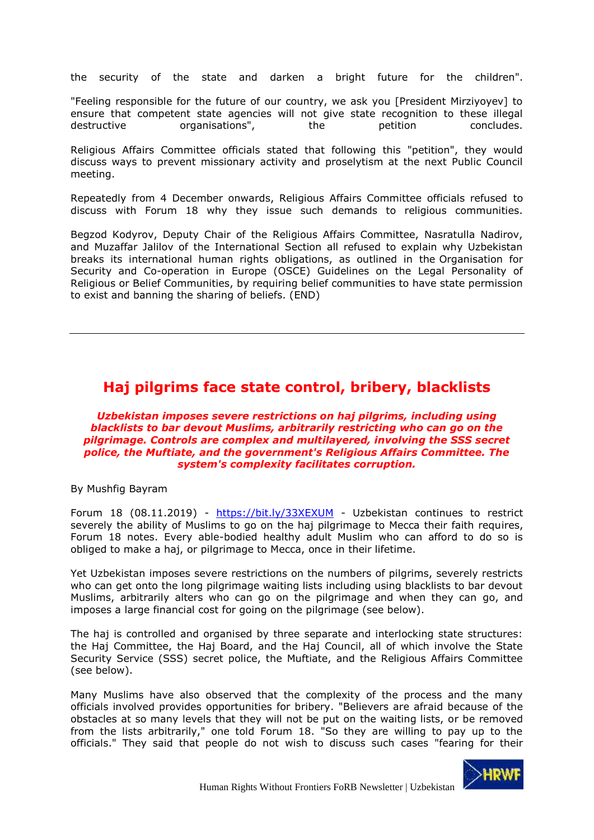the security of the state and darken a bright future for the children".

"Feeling responsible for the future of our country, we ask you [President Mirziyoyev] to ensure that competent state agencies will not give state recognition to these illegal destructive organisations", the petition concludes.

Religious Affairs Committee officials stated that following this "petition", they would discuss ways to prevent missionary activity and proselytism at the next Public Council meeting.

Repeatedly from 4 December onwards, Religious Affairs Committee officials refused to discuss with Forum 18 why they issue such demands to religious communities.

Begzod Kodyrov, Deputy Chair of the Religious Affairs Committee, Nasratulla Nadirov, and Muzaffar Jalilov of the International Section all refused to explain why Uzbekistan breaks its international human rights obligations, as outlined in the [Organisation for](http://www.osce.org/odihr/139046)  [Security and Co-operation in Europe \(OSCE\) Guidelines on the Legal Personality of](http://www.osce.org/odihr/139046)  [Religious or Belief Communities,](http://www.osce.org/odihr/139046) by requiring belief communities to have state permission to exist and banning the sharing of beliefs. (END)

# <span id="page-8-0"></span>**Haj pilgrims face state control, bribery, blacklists**

*Uzbekistan imposes severe restrictions on haj pilgrims, including using blacklists to bar devout Muslims, arbitrarily restricting who can go on the pilgrimage. Controls are complex and multilayered, involving the SSS secret police, the Muftiate, and the government's Religious Affairs Committee. The system's complexity facilitates corruption.*

By Mushfig Bayram

Forum 18 (08.11.2019) - <https://bit.ly/33XEXUM> - Uzbekistan continues to restrict severely the ability of Muslims to go on the haj pilgrimage to Mecca their faith requires, Forum 18 notes. Every able-bodied healthy adult Muslim who can afford to do so is obliged to make a haj, or pilgrimage to Mecca, once in their lifetime.

Yet Uzbekistan imposes severe restrictions on the numbers of pilgrims, severely restricts who can get onto the long pilgrimage waiting lists including using blacklists to bar devout Muslims, arbitrarily alters who can go on the pilgrimage and when they can go, and imposes a large financial cost for going on the pilgrimage (see below).

The haj is controlled and organised by three separate and interlocking state structures: the Haj Committee, the Haj Board, and the Haj Council, all of which involve the State Security Service (SSS) secret police, the Muftiate, and the Religious Affairs Committee (see below).

Many Muslims have also observed that the complexity of the process and the many officials involved provides opportunities for bribery. "Believers are afraid because of the obstacles at so many levels that they will not be put on the waiting lists, or be removed from the lists arbitrarily," one told Forum 18. "So they are willing to pay up to the officials." They said that people do not wish to discuss such cases "fearing for their

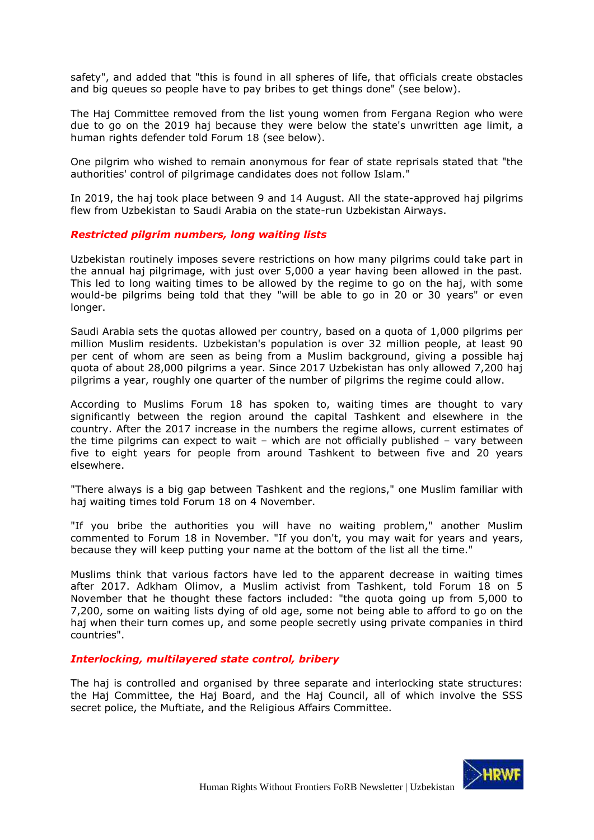safety", and added that "this is found in all spheres of life, that officials create obstacles and big queues so people have to pay bribes to get things done" (see below).

The Haj Committee removed from the list young women from Fergana Region who were due to go on the 2019 haj because they were below the state's unwritten age limit, a human rights defender told Forum 18 (see below).

One pilgrim who wished to remain anonymous for fear of state reprisals stated that "the authorities' control of pilgrimage candidates does not follow Islam."

In 2019, the haj took place between 9 and 14 August. All the state-approved haj pilgrims flew from Uzbekistan to Saudi Arabia on the state-run Uzbekistan Airways.

#### *Restricted pilgrim numbers, long waiting lists*

Uzbekistan routinely imposes severe restrictions on how many pilgrims could take part in the annual haj pilgrimage, with just over 5,000 a year having been allowed in the past. This led to long waiting times to be allowed by the regime to go on the haj, with some would-be pilgrims being told that they "will be able to go in 20 or 30 years" or even longer.

Saudi Arabia sets the quotas allowed per country, based on a quota of 1,000 pilgrims per million Muslim residents. Uzbekistan's population is over 32 million people, at least 90 per cent of whom are seen as being from a Muslim background, giving a possible haj quota of about 28,000 pilgrims a year. Since 2017 Uzbekistan has only allowed 7,200 haj pilgrims a year, roughly one quarter of the number of pilgrims the regime could allow.

According to Muslims Forum 18 has spoken to, waiting times are thought to vary significantly between the region around the capital Tashkent and elsewhere in the country. After the 2017 increase in the numbers the regime allows, current estimates of the time pilgrims can expect to wait – which are not officially published – vary between five to eight years for people from around Tashkent to between five and 20 years elsewhere.

"There always is a big gap between Tashkent and the regions," one Muslim familiar with haj waiting times told Forum 18 on 4 November.

"If you bribe the authorities you will have no waiting problem," another Muslim commented to Forum 18 in November. "If you don't, you may wait for years and years, because they will keep putting your name at the bottom of the list all the time."

Muslims think that various factors have led to the apparent decrease in waiting times after 2017. Adkham Olimov, a Muslim activist from Tashkent, told Forum 18 on 5 November that he thought these factors included: "the quota going up from 5,000 to 7,200, some on waiting lists dying of old age, some not being able to afford to go on the haj when their turn comes up, and some people secretly using private companies in third countries".

#### *Interlocking, multilayered state control, bribery*

The haj is controlled and organised by three separate and interlocking state structures: the Haj Committee, the Haj Board, and the Haj Council, all of which involve the SSS secret police, the Muftiate, and the Religious Affairs Committee.

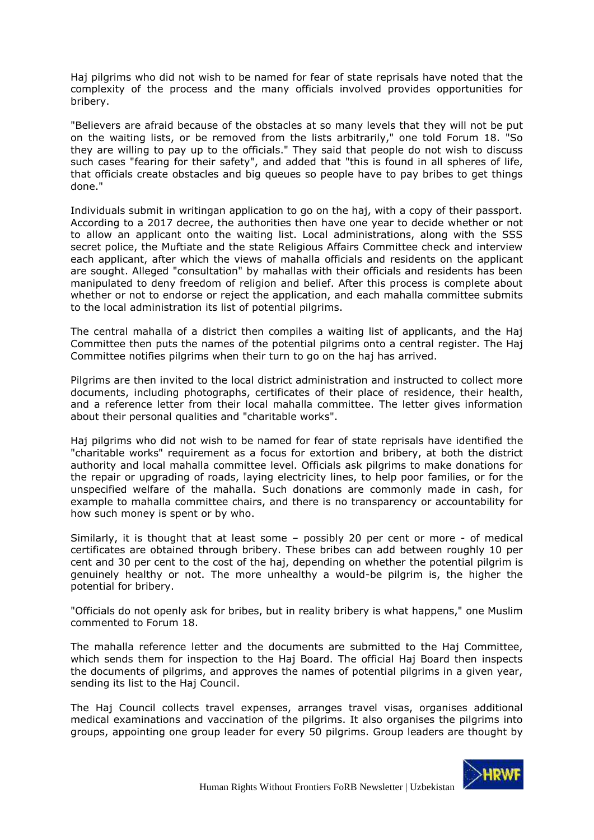Haj pilgrims who did not wish to be named for fear of state reprisals have noted that the complexity of the process and the many officials involved provides opportunities for bribery.

"Believers are afraid because of the obstacles at so many levels that they will not be put on the waiting lists, or be removed from the lists arbitrarily," one told Forum 18. "So they are willing to pay up to the officials." They said that people do not wish to discuss such cases "fearing for their safety", and added that "this is found in all spheres of life, that officials create obstacles and big queues so people have to pay bribes to get things done."

Individuals submit in writingan application to go on the haj, with a copy of their passport. According to a 2017 decree, the authorities then have one year to decide whether or not to allow an applicant onto the waiting list. Local administrations, along with the SSS secret police, the Muftiate and the state Religious Affairs Committee check and interview each applicant, after which the views of mahalla officials and residents on the applicant are sought. Alleged "consultation" by mahallas with their officials and residents has been manipulated to deny freedom of religion and belief. After this process is complete about whether or not to endorse or reject the application, and each mahalla committee submits to the local administration its list of potential pilgrims.

The central mahalla of a district then compiles a waiting list of applicants, and the Haj Committee then puts the names of the potential pilgrims onto a central register. The Haj Committee notifies pilgrims when their turn to go on the haj has arrived.

Pilgrims are then invited to the local district administration and instructed to collect more documents, including photographs, certificates of their place of residence, their health, and a reference letter from their local mahalla committee. The letter gives information about their personal qualities and "charitable works".

Haj pilgrims who did not wish to be named for fear of state reprisals have identified the "charitable works" requirement as a focus for extortion and bribery, at both the district authority and local mahalla committee level. Officials ask pilgrims to make donations for the repair or upgrading of roads, laying electricity lines, to help poor families, or for the unspecified welfare of the mahalla. Such donations are commonly made in cash, for example to mahalla committee chairs, and there is no transparency or accountability for how such money is spent or by who.

Similarly, it is thought that at least some – possibly 20 per cent or more - of medical certificates are obtained through bribery. These bribes can add between roughly 10 per cent and 30 per cent to the cost of the haj, depending on whether the potential pilgrim is genuinely healthy or not. The more unhealthy a would-be pilgrim is, the higher the potential for bribery.

"Officials do not openly ask for bribes, but in reality bribery is what happens," one Muslim commented to Forum 18.

The mahalla reference letter and the documents are submitted to the Haj Committee, which sends them for inspection to the Haj Board. The official Haj Board then inspects the documents of pilgrims, and approves the names of potential pilgrims in a given year, sending its list to the Haj Council.

The Haj Council collects travel expenses, arranges travel visas, organises additional medical examinations and vaccination of the pilgrims. It also organises the pilgrims into groups, appointing one group leader for every 50 pilgrims. Group leaders are thought by

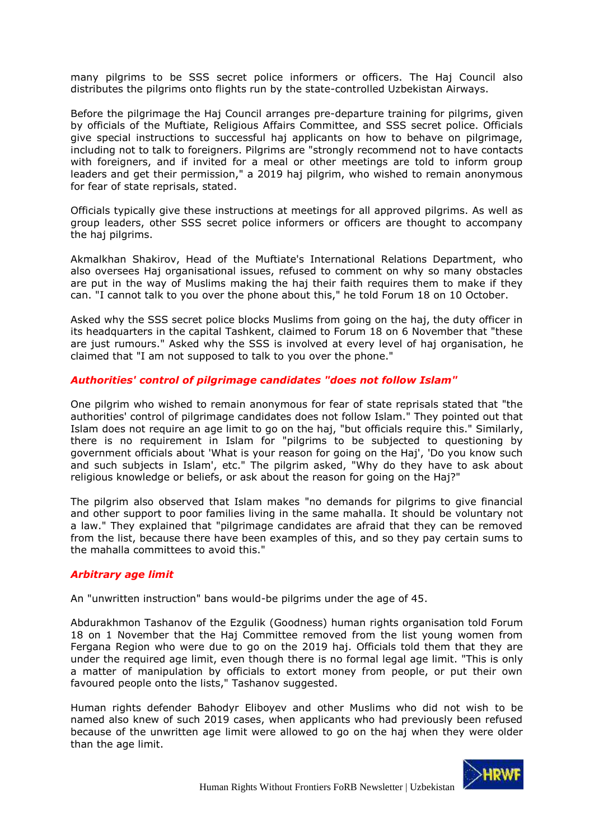many pilgrims to be SSS secret police informers or officers. The Haj Council also distributes the pilgrims onto flights run by the state-controlled Uzbekistan Airways.

Before the pilgrimage the Haj Council arranges pre-departure training for pilgrims, given by officials of the Muftiate, Religious Affairs Committee, and SSS secret police. Officials give special instructions to successful haj applicants on how to behave on pilgrimage, including not to talk to foreigners. Pilgrims are "strongly recommend not to have contacts with foreigners, and if invited for a meal or other meetings are told to inform group leaders and get their permission," a 2019 haj pilgrim, who wished to remain anonymous for fear of state reprisals, stated.

Officials typically give these instructions at meetings for all approved pilgrims. As well as group leaders, other SSS secret police informers or officers are thought to accompany the haj pilgrims.

Akmalkhan Shakirov, Head of the Muftiate's International Relations Department, who also oversees Haj organisational issues, refused to comment on why so many obstacles are put in the way of Muslims making the haj their faith requires them to make if they can. "I cannot talk to you over the phone about this," he told Forum 18 on 10 October.

Asked why the SSS secret police blocks Muslims from going on the haj, the duty officer in its headquarters in the capital Tashkent, claimed to Forum 18 on 6 November that "these are just rumours." Asked why the SSS is involved at every level of haj organisation, he claimed that "I am not supposed to talk to you over the phone."

# *Authorities' control of pilgrimage candidates "does not follow Islam"*

One pilgrim who wished to remain anonymous for fear of state reprisals stated that "the authorities' control of pilgrimage candidates does not follow Islam." They pointed out that Islam does not require an age limit to go on the haj, "but officials require this." Similarly, there is no requirement in Islam for "pilgrims to be subjected to questioning by government officials about 'What is your reason for going on the Haj', 'Do you know such and such subjects in Islam', etc." The pilgrim asked, "Why do they have to ask about religious knowledge or beliefs, or ask about the reason for going on the Haj?"

The pilgrim also observed that Islam makes "no demands for pilgrims to give financial and other support to poor families living in the same mahalla. It should be voluntary not a law." They explained that "pilgrimage candidates are afraid that they can be removed from the list, because there have been examples of this, and so they pay certain sums to the mahalla committees to avoid this."

#### *Arbitrary age limit*

An "unwritten instruction" bans would-be pilgrims under the age of 45.

Abdurakhmon Tashanov of the Ezgulik (Goodness) human rights organisation told Forum 18 on 1 November that the Haj Committee removed from the list young women from Fergana Region who were due to go on the 2019 haj. Officials told them that they are under the required age limit, even though there is no formal legal age limit. "This is only a matter of manipulation by officials to extort money from people, or put their own favoured people onto the lists," Tashanov suggested.

Human rights defender Bahodyr Eliboyev and other Muslims who did not wish to be named also knew of such 2019 cases, when applicants who had previously been refused because of the unwritten age limit were allowed to go on the haj when they were older than the age limit.

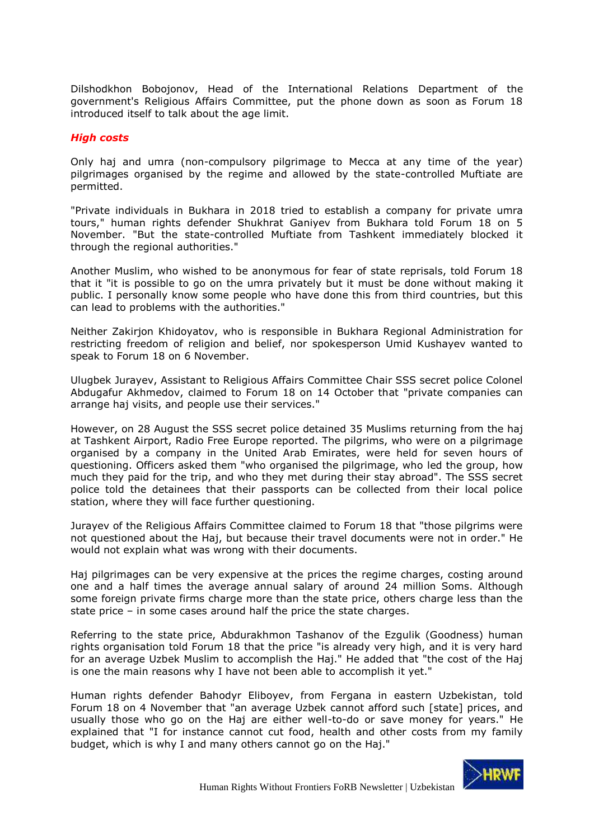Dilshodkhon Bobojonov, Head of the International Relations Department of the government's Religious Affairs Committee, put the phone down as soon as Forum 18 introduced itself to talk about the age limit.

#### *High costs*

Only haj and umra (non-compulsory pilgrimage to Mecca at any time of the year) pilgrimages organised by the regime and allowed by the state-controlled Muftiate are permitted.

"Private individuals in Bukhara in 2018 tried to establish a company for private umra tours," human rights defender Shukhrat Ganiyev from Bukhara told Forum 18 on 5 November. "But the state-controlled Muftiate from Tashkent immediately blocked it through the regional authorities."

Another Muslim, who wished to be anonymous for fear of state reprisals, told Forum 18 that it "it is possible to go on the umra privately but it must be done without making it public. I personally know some people who have done this from third countries, but this can lead to problems with the authorities."

Neither Zakirjon Khidoyatov, who is responsible in Bukhara Regional Administration for restricting freedom of religion and belief, nor spokesperson Umid Kushayev wanted to speak to Forum 18 on 6 November.

Ulugbek Jurayev, Assistant to Religious Affairs Committee Chair SSS secret police Colonel Abdugafur Akhmedov, claimed to Forum 18 on 14 October that "private companies can arrange haj visits, and people use their services."

However, on 28 August the SSS secret police detained 35 Muslims returning from the haj at Tashkent Airport, Radio Free Europe reported. The pilgrims, who were on a pilgrimage organised by a company in the United Arab Emirates, were held for seven hours of questioning. Officers asked them "who organised the pilgrimage, who led the group, how much they paid for the trip, and who they met during their stay abroad". The SSS secret police told the detainees that their passports can be collected from their local police station, where they will face further questioning.

Jurayev of the Religious Affairs Committee claimed to Forum 18 that "those pilgrims were not questioned about the Haj, but because their travel documents were not in order." He would not explain what was wrong with their documents.

Haj pilgrimages can be very expensive at the prices the regime charges, costing around one and a half times the average annual salary of around 24 million Soms. Although some foreign private firms charge more than the state price, others charge less than the state price – in some cases around half the price the state charges.

Referring to the state price, Abdurakhmon Tashanov of the Ezgulik (Goodness) human rights organisation told Forum 18 that the price "is already very high, and it is very hard for an average Uzbek Muslim to accomplish the Haj." He added that "the cost of the Haj is one the main reasons why I have not been able to accomplish it yet."

Human rights defender Bahodyr Eliboyev, from Fergana in eastern Uzbekistan, told Forum 18 on 4 November that "an average Uzbek cannot afford such [state] prices, and usually those who go on the Haj are either well-to-do or save money for years." He explained that "I for instance cannot cut food, health and other costs from my family budget, which is why I and many others cannot go on the Haj."

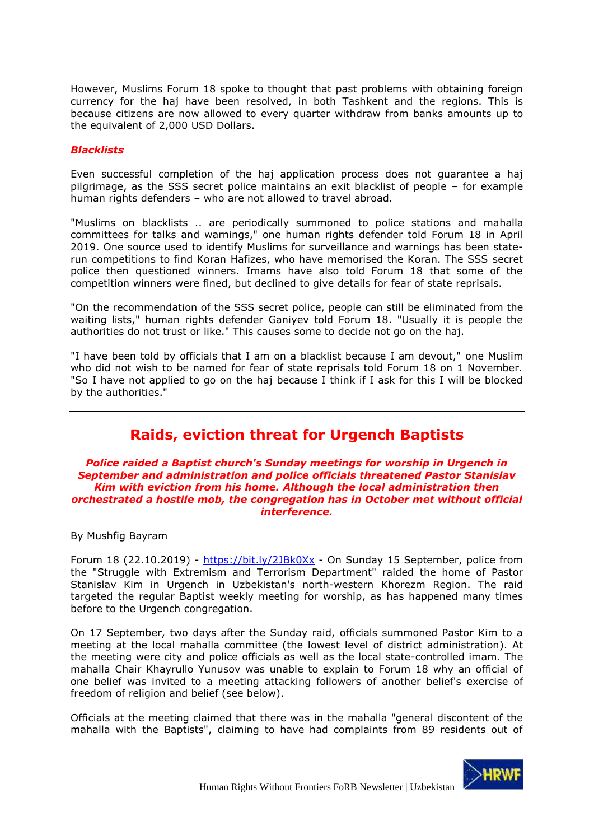However, Muslims Forum 18 spoke to thought that past problems with obtaining foreign currency for the haj have been resolved, in both Tashkent and the regions. This is because citizens are now allowed to every quarter withdraw from banks amounts up to the equivalent of 2,000 USD Dollars.

#### *Blacklists*

Even successful completion of the haj application process does not guarantee a haj pilgrimage, as the SSS secret police maintains an exit blacklist of people – for example human rights defenders – who are not allowed to travel abroad.

"Muslims on blacklists .. are periodically summoned to police stations and mahalla committees for talks and warnings," one human rights defender told Forum 18 in April 2019. One source used to identify Muslims for surveillance and warnings has been staterun competitions to find Koran Hafizes, who have memorised the Koran. The SSS secret police then questioned winners. Imams have also told Forum 18 that some of the competition winners were fined, but declined to give details for fear of state reprisals.

"On the recommendation of the SSS secret police, people can still be eliminated from the waiting lists," human rights defender Ganiyev told Forum 18. "Usually it is people the authorities do not trust or like." This causes some to decide not go on the haj.

"I have been told by officials that I am on a blacklist because I am devout," one Muslim who did not wish to be named for fear of state reprisals told Forum 18 on 1 November. "So I have not applied to go on the haj because I think if I ask for this I will be blocked by the authorities."

# **Raids, eviction threat for Urgench Baptists**

#### <span id="page-13-0"></span>*Police raided a Baptist church's Sunday meetings for worship in Urgench in September and administration and police officials threatened Pastor Stanislav Kim with eviction from his home. Although the local administration then orchestrated a hostile mob, the congregation has in October met without official interference.*

By Mushfig Bayram

Forum 18 (22.10.2019) - <https://bit.ly/2JBk0Xx> - On Sunday 15 September, police from the "Struggle with Extremism and Terrorism Department" raided the home of Pastor Stanislav Kim in Urgench in Uzbekistan's north-western Khorezm Region. The raid targeted the regular Baptist weekly meeting for worship, as has happened many times before to the Urgench congregation.

On 17 September, two days after the Sunday raid, officials summoned Pastor Kim to a meeting at the local mahalla committee (the lowest level of district administration). At the meeting were city and police officials as well as the local state-controlled imam. The mahalla Chair Khayrullo Yunusov was unable to explain to Forum 18 why an official of one belief was invited to a meeting attacking followers of another belief's exercise of freedom of religion and belief (see below).

Officials at the meeting claimed that there was in the mahalla "general discontent of the mahalla with the Baptists", claiming to have had complaints from 89 residents out of

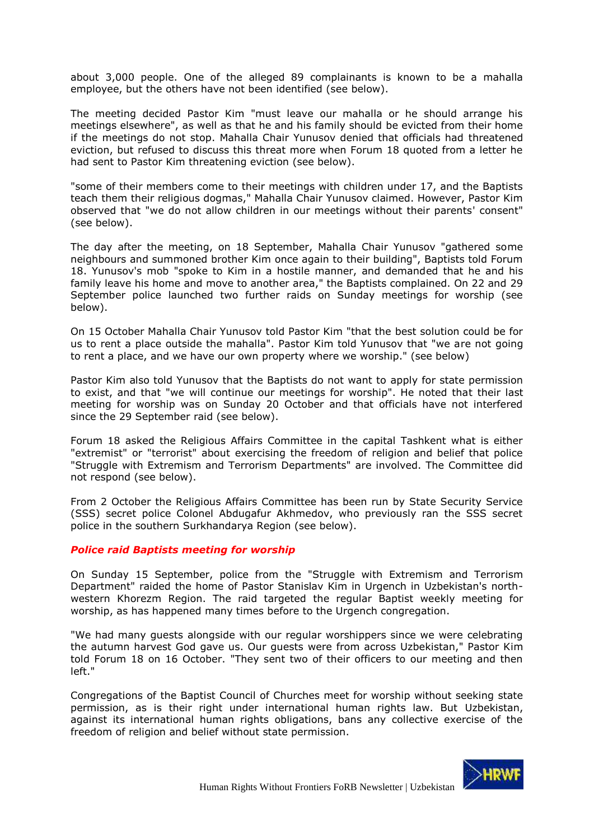about 3,000 people. One of the alleged 89 complainants is known to be a mahalla employee, but the others have not been identified (see below).

The meeting decided Pastor Kim "must leave our mahalla or he should arrange his meetings elsewhere", as well as that he and his family should be evicted from their home if the meetings do not stop. Mahalla Chair Yunusov denied that officials had threatened eviction, but refused to discuss this threat more when Forum 18 quoted from a letter he had sent to Pastor Kim threatening eviction (see below).

"some of their members come to their meetings with children under 17, and the Baptists teach them their religious dogmas," Mahalla Chair Yunusov claimed. However, Pastor Kim observed that "we do not allow children in our meetings without their parents' consent" (see below).

The day after the meeting, on 18 September, Mahalla Chair Yunusov "gathered some neighbours and summoned brother Kim once again to their building", Baptists told Forum 18. Yunusov's mob "spoke to Kim in a hostile manner, and demanded that he and his family leave his home and move to another area," the Baptists complained. On 22 and 29 September police launched two further raids on Sunday meetings for worship (see below).

On 15 October Mahalla Chair Yunusov told Pastor Kim "that the best solution could be for us to rent a place outside the mahalla". Pastor Kim told Yunusov that "we are not going to rent a place, and we have our own property where we worship." (see below)

Pastor Kim also told Yunusov that the Baptists do not want to apply for state permission to exist, and that "we will continue our meetings for worship". He noted that their last meeting for worship was on Sunday 20 October and that officials have not interfered since the 29 September raid (see below).

Forum 18 asked the Religious Affairs Committee in the capital Tashkent what is either "extremist" or "terrorist" about exercising the freedom of religion and belief that police "Struggle with Extremism and Terrorism Departments" are involved. The Committee did not respond (see below).

From 2 October the Religious Affairs Committee has been run by State Security Service (SSS) secret police Colonel Abdugafur Akhmedov, who previously ran the SSS secret police in the southern Surkhandarya Region (see below).

#### *Police raid Baptists meeting for worship*

On Sunday 15 September, police from the "Struggle with Extremism and Terrorism Department" raided the home of Pastor Stanislav Kim in Urgench in Uzbekistan's northwestern Khorezm Region. The raid targeted the regular Baptist weekly meeting for worship, as has happened many times before to the Urgench congregation.

"We had many guests alongside with our regular worshippers since we were celebrating the autumn harvest God gave us. Our guests were from across Uzbekistan," Pastor Kim told Forum 18 on 16 October. "They sent two of their officers to our meeting and then left."

Congregations of the Baptist Council of Churches meet for worship without seeking state permission, as is their right under international human rights law. But Uzbekistan, against its international human rights obligations, bans any collective exercise of the freedom of religion and belief without state permission.

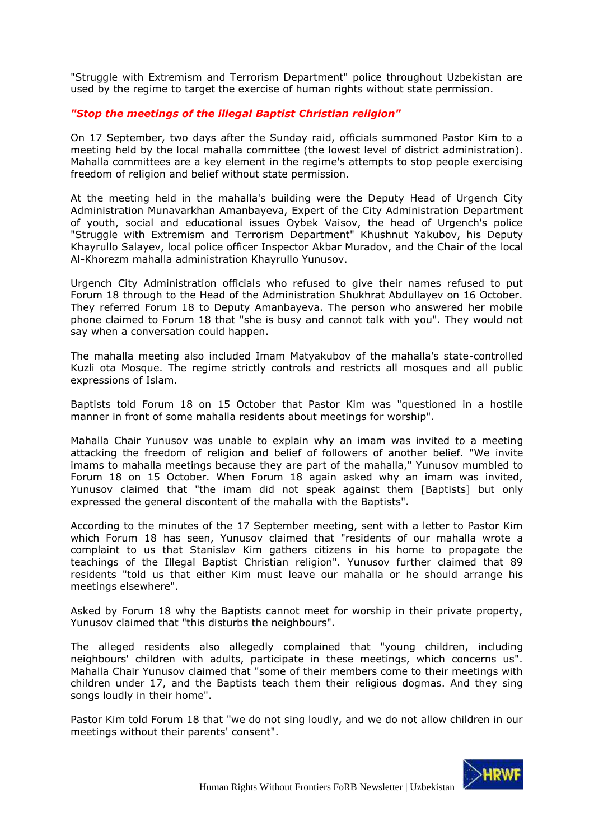"Struggle with Extremism and Terrorism Department" police throughout Uzbekistan are used by the regime to target the exercise of human rights without state permission.

# *"Stop the meetings of the illegal Baptist Christian religion"*

On 17 September, two days after the Sunday raid, officials summoned Pastor Kim to a meeting held by the local mahalla committee (the lowest level of district administration). Mahalla committees are a key element in the regime's attempts to stop people exercising freedom of religion and belief without state permission.

At the meeting held in the mahalla's building were the Deputy Head of Urgench City Administration Munavarkhan Amanbayeva, Expert of the City Administration Department of youth, social and educational issues Oybek Vaisov, the head of Urgench's police "Struggle with Extremism and Terrorism Department" Khushnut Yakubov, his Deputy Khayrullo Salayev, local police officer Inspector Akbar Muradov, and the Chair of the local Al-Khorezm mahalla administration Khayrullo Yunusov.

Urgench City Administration officials who refused to give their names refused to put Forum 18 through to the Head of the Administration Shukhrat Abdullayev on 16 October. They referred Forum 18 to Deputy Amanbayeva. The person who answered her mobile phone claimed to Forum 18 that "she is busy and cannot talk with you". They would not say when a conversation could happen.

The mahalla meeting also included Imam Matyakubov of the mahalla's state-controlled Kuzli ota Mosque. The regime strictly controls and restricts all mosques and all public expressions of Islam.

Baptists told Forum 18 on 15 October that Pastor Kim was "questioned in a hostile manner in front of some mahalla residents about meetings for worship".

Mahalla Chair Yunusov was unable to explain why an imam was invited to a meeting attacking the freedom of religion and belief of followers of another belief. "We invite imams to mahalla meetings because they are part of the mahalla," Yunusov mumbled to Forum 18 on 15 October. When Forum 18 again asked why an imam was invited, Yunusov claimed that "the imam did not speak against them [Baptists] but only expressed the general discontent of the mahalla with the Baptists".

According to the minutes of the 17 September meeting, sent with a letter to Pastor Kim which Forum 18 has seen, Yunusov claimed that "residents of our mahalla wrote a complaint to us that Stanislav Kim gathers citizens in his home to propagate the teachings of the Illegal Baptist Christian religion". Yunusov further claimed that 89 residents "told us that either Kim must leave our mahalla or he should arrange his meetings elsewhere".

Asked by Forum 18 why the Baptists cannot meet for worship in their private property, Yunusov claimed that "this disturbs the neighbours".

The alleged residents also allegedly complained that "young children, including neighbours' children with adults, participate in these meetings, which concerns us". Mahalla Chair Yunusov claimed that "some of their members come to their meetings with children under 17, and the Baptists teach them their religious dogmas. And they sing songs loudly in their home".

Pastor Kim told Forum 18 that "we do not sing loudly, and we do not allow children in our meetings without their parents' consent".

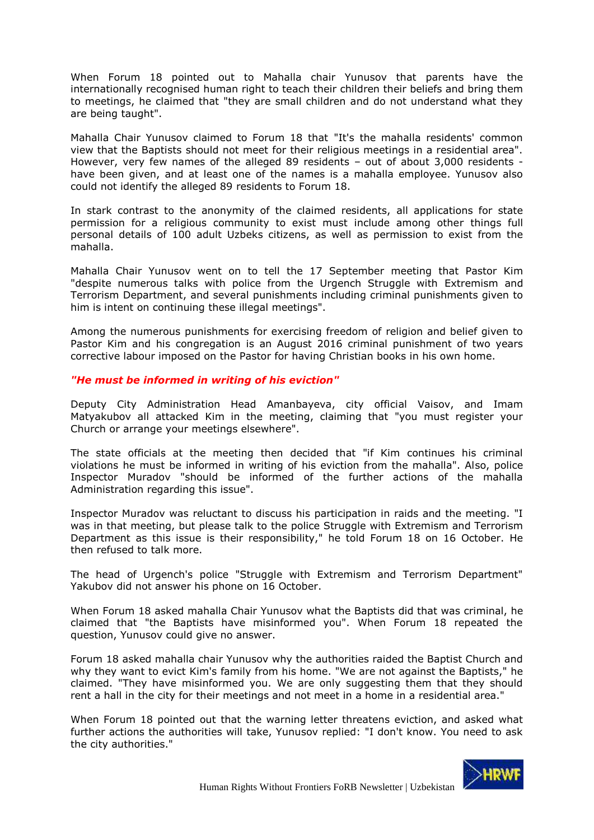When Forum 18 pointed out to Mahalla chair Yunusov that parents have the internationally recognised human right to teach their children their beliefs and bring them to meetings, he claimed that "they are small children and do not understand what they are being taught".

Mahalla Chair Yunusov claimed to Forum 18 that "It's the mahalla residents' common view that the Baptists should not meet for their religious meetings in a residential area". However, very few names of the alleged 89 residents – out of about 3,000 residents have been given, and at least one of the names is a mahalla employee. Yunusov also could not identify the alleged 89 residents to Forum 18.

In stark contrast to the anonymity of the claimed residents, all applications for state permission for a religious community to exist must include among other things full personal details of 100 adult Uzbeks citizens, as well as permission to exist from the mahalla.

Mahalla Chair Yunusov went on to tell the 17 September meeting that Pastor Kim "despite numerous talks with police from the Urgench Struggle with Extremism and Terrorism Department, and several punishments including criminal punishments given to him is intent on continuing these illegal meetings".

Among the numerous punishments for exercising freedom of religion and belief given to Pastor Kim and his congregation is an August 2016 criminal punishment of two years corrective labour imposed on the Pastor for having Christian books in his own home.

# *"He must be informed in writing of his eviction"*

Deputy City Administration Head Amanbayeva, city official Vaisov, and Imam Matyakubov all attacked Kim in the meeting, claiming that "you must register your Church or arrange your meetings elsewhere".

The state officials at the meeting then decided that "if Kim continues his criminal violations he must be informed in writing of his eviction from the mahalla". Also, police Inspector Muradov "should be informed of the further actions of the mahalla Administration regarding this issue".

Inspector Muradov was reluctant to discuss his participation in raids and the meeting. "I was in that meeting, but please talk to the police Struggle with Extremism and Terrorism Department as this issue is their responsibility," he told Forum 18 on 16 October. He then refused to talk more.

The head of Urgench's police "Struggle with Extremism and Terrorism Department" Yakubov did not answer his phone on 16 October.

When Forum 18 asked mahalla Chair Yunusov what the Baptists did that was criminal, he claimed that "the Baptists have misinformed you". When Forum 18 repeated the question, Yunusov could give no answer.

Forum 18 asked mahalla chair Yunusov why the authorities raided the Baptist Church and why they want to evict Kim's family from his home. "We are not against the Baptists," he claimed. "They have misinformed you. We are only suggesting them that they should rent a hall in the city for their meetings and not meet in a home in a residential area."

When Forum 18 pointed out that the warning letter threatens eviction, and asked what further actions the authorities will take, Yunusov replied: "I don't know. You need to ask the city authorities."

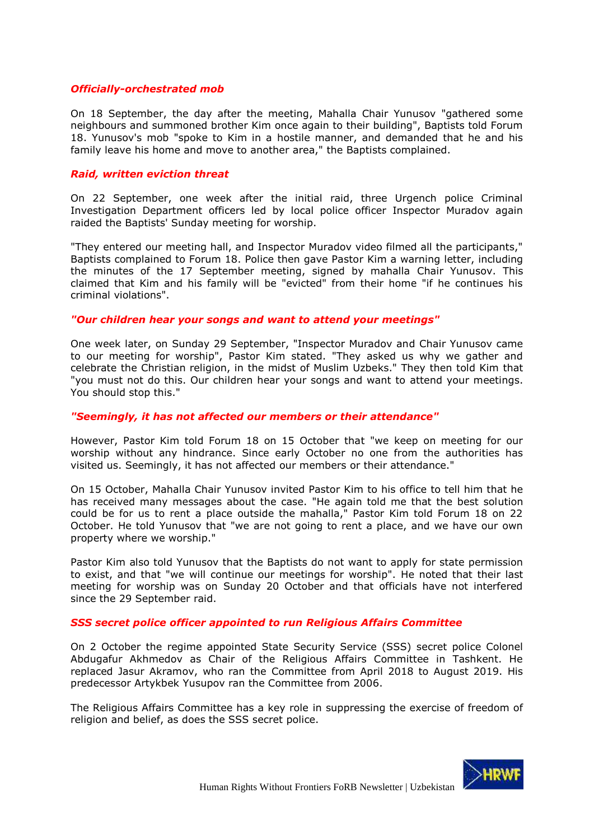### *Officially-orchestrated mob*

On 18 September, the day after the meeting, Mahalla Chair Yunusov "gathered some neighbours and summoned brother Kim once again to their building", Baptists told Forum 18. Yunusov's mob "spoke to Kim in a hostile manner, and demanded that he and his family leave his home and move to another area," the Baptists complained.

#### *Raid, written eviction threat*

On 22 September, one week after the initial raid, three Urgench police Criminal Investigation Department officers led by local police officer Inspector Muradov again raided the Baptists' Sunday meeting for worship.

"They entered our meeting hall, and Inspector Muradov video filmed all the participants," Baptists complained to Forum 18. Police then gave Pastor Kim a warning letter, including the minutes of the 17 September meeting, signed by mahalla Chair Yunusov. This claimed that Kim and his family will be "evicted" from their home "if he continues his criminal violations".

#### *"Our children hear your songs and want to attend your meetings"*

One week later, on Sunday 29 September, "Inspector Muradov and Chair Yunusov came to our meeting for worship", Pastor Kim stated. "They asked us why we gather and celebrate the Christian religion, in the midst of Muslim Uzbeks." They then told Kim that "you must not do this. Our children hear your songs and want to attend your meetings. You should stop this."

### *"Seemingly, it has not affected our members or their attendance"*

However, Pastor Kim told Forum 18 on 15 October that "we keep on meeting for our worship without any hindrance. Since early October no one from the authorities has visited us. Seemingly, it has not affected our members or their attendance."

On 15 October, Mahalla Chair Yunusov invited Pastor Kim to his office to tell him that he has received many messages about the case. "He again told me that the best solution could be for us to rent a place outside the mahalla," Pastor Kim told Forum 18 on 22 October. He told Yunusov that "we are not going to rent a place, and we have our own property where we worship."

Pastor Kim also told Yunusov that the Baptists do not want to apply for state permission to exist, and that "we will continue our meetings for worship". He noted that their last meeting for worship was on Sunday 20 October and that officials have not interfered since the 29 September raid.

#### *SSS secret police officer appointed to run Religious Affairs Committee*

On 2 October the regime appointed State Security Service (SSS) secret police Colonel Abdugafur Akhmedov as Chair of the Religious Affairs Committee in Tashkent. He replaced Jasur Akramov, who ran the Committee from April 2018 to August 2019. His predecessor Artykbek Yusupov ran the Committee from 2006.

The Religious Affairs Committee has a key role in suppressing the exercise of freedom of religion and belief, as does the SSS secret police.

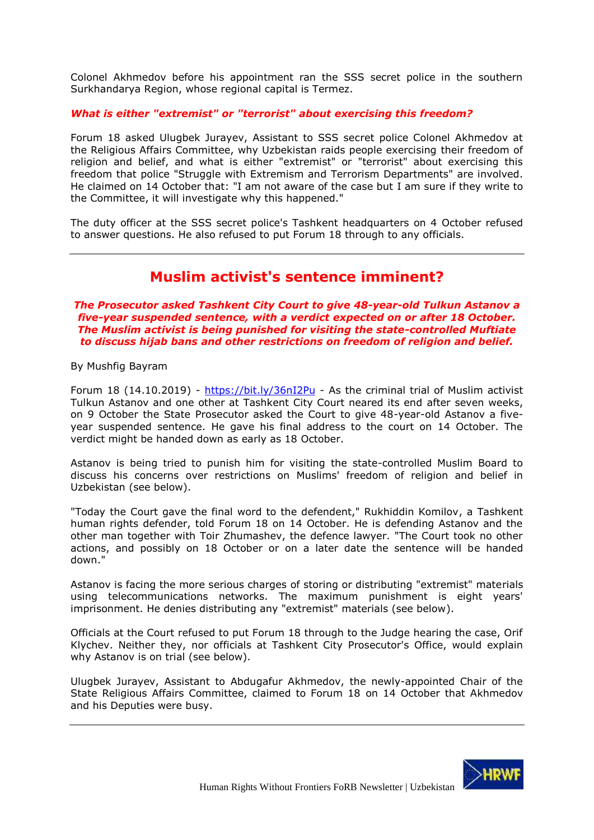Colonel Akhmedov before his appointment ran the SSS secret police in the southern Surkhandarya Region, whose regional capital is Termez.

# *What is either "extremist" or "terrorist" about exercising this freedom?*

Forum 18 asked Ulugbek Jurayev, Assistant to SSS secret police Colonel Akhmedov at the Religious Affairs Committee, why Uzbekistan raids people exercising their freedom of religion and belief, and what is either "extremist" or "terrorist" about exercising this freedom that police "Struggle with Extremism and Terrorism Departments" are involved. He claimed on 14 October that: "I am not aware of the case but I am sure if they write to the Committee, it will investigate why this happened."

<span id="page-18-0"></span>The duty officer at the SSS secret police's Tashkent headquarters on 4 October refused to answer questions. He also refused to put Forum 18 through to any officials.

# **Muslim activist's sentence imminent?**

*The Prosecutor asked Tashkent City Court to give 48-year-old Tulkun Astanov a five-year suspended sentence, with a verdict expected on or after 18 October. The Muslim activist is being punished for visiting the state-controlled Muftiate to discuss hijab bans and other restrictions on freedom of religion and belief.*

By Mushfig Bayram

Forum 18 (14.10.2019) - <https://bit.ly/36nI2Pu> - As the criminal trial of Muslim activist Tulkun Astanov and one other at Tashkent City Court neared its end after seven weeks, on 9 October the State Prosecutor asked the Court to give 48-year-old Astanov a fiveyear suspended sentence. He gave his final address to the court on 14 October. The verdict might be handed down as early as 18 October.

Astanov is being tried to punish him for visiting the state-controlled Muslim Board to discuss his concerns over restrictions on Muslims' freedom of religion and belief in Uzbekistan (see below).

"Today the Court gave the final word to the defendent," Rukhiddin Komilov, a Tashkent human rights defender, told Forum 18 on 14 October. He is defending Astanov and the other man together with Toir Zhumashev, the defence lawyer. "The Court took no other actions, and possibly on 18 October or on a later date the sentence will be handed down."

Astanov is facing the more serious charges of storing or distributing "extremist" materials using telecommunications networks. The maximum punishment is eight years' imprisonment. He denies distributing any "extremist" materials (see below).

Officials at the Court refused to put Forum 18 through to the Judge hearing the case, Orif Klychev. Neither they, nor officials at Tashkent City Prosecutor's Office, would explain why Astanov is on trial (see below).

Ulugbek Jurayev, Assistant to Abdugafur Akhmedov, the newly-appointed Chair of the State Religious Affairs Committee, claimed to Forum 18 on 14 October that Akhmedov and his Deputies were busy.

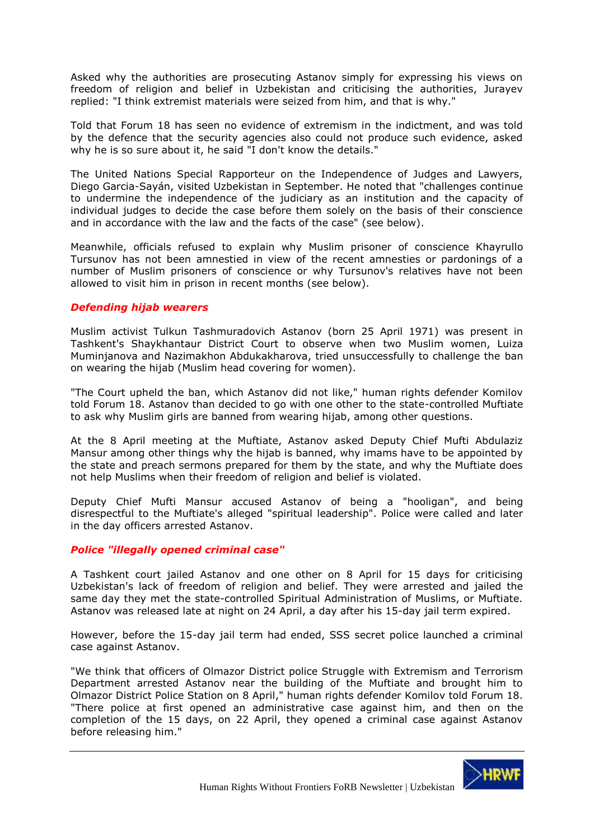Asked why the authorities are prosecuting Astanov simply for expressing his views on freedom of religion and belief in Uzbekistan and criticising the authorities, Jurayev replied: "I think extremist materials were seized from him, and that is why."

Told that Forum 18 has seen no evidence of extremism in the indictment, and was told by the defence that the security agencies also could not produce such evidence, asked why he is so sure about it, he said "I don't know the details."

The United Nations Special Rapporteur on the Independence of Judges and Lawyers, Diego Garcia-Sayán, visited Uzbekistan in September. He noted that "challenges continue to undermine the independence of the judiciary as an institution and the capacity of individual judges to decide the case before them solely on the basis of their conscience and in accordance with the law and the facts of the case" (see below).

Meanwhile, officials refused to explain why Muslim prisoner of conscience Khayrullo Tursunov has not been amnestied in view of the recent amnesties or pardonings of a number of Muslim prisoners of conscience or why Tursunov's relatives have not been allowed to visit him in prison in recent months (see below).

# *Defending hijab wearers*

Muslim activist Tulkun Tashmuradovich Astanov (born 25 April 1971) was present in Tashkent's Shaykhantaur District Court to observe when two Muslim women, Luiza Muminjanova and Nazimakhon Abdukakharova, tried unsuccessfully to challenge the ban on wearing the hijab (Muslim head covering for women).

"The Court upheld the ban, which Astanov did not like," human rights defender Komilov told Forum 18. Astanov than decided to go with one other to the state-controlled Muftiate to ask why Muslim girls are banned from wearing hijab, among other questions.

At the 8 April meeting at the Muftiate, Astanov asked Deputy Chief Mufti Abdulaziz Mansur among other things why the hijab is banned, why imams have to be appointed by the state and preach sermons prepared for them by the state, and why the Muftiate does not help Muslims when their freedom of religion and belief is violated.

Deputy Chief Mufti Mansur accused Astanov of being a "hooligan", and being disrespectful to the Muftiate's alleged "spiritual leadership". Police were called and later in the day officers arrested Astanov.

# *Police "illegally opened criminal case"*

A Tashkent court jailed Astanov and one other on 8 April for 15 days for criticising Uzbekistan's lack of freedom of religion and belief. They were arrested and jailed the same day they met the state-controlled Spiritual Administration of Muslims, or Muftiate. Astanov was released late at night on 24 April, a day after his 15-day jail term expired.

However, before the 15-day jail term had ended, SSS secret police launched a criminal case against Astanov.

"We think that officers of Olmazor District police Struggle with Extremism and Terrorism Department arrested Astanov near the building of the Muftiate and brought him to Olmazor District Police Station on 8 April," human rights defender Komilov told Forum 18. "There police at first opened an administrative case against him, and then on the completion of the 15 days, on 22 April, they opened a criminal case against Astanov before releasing him."

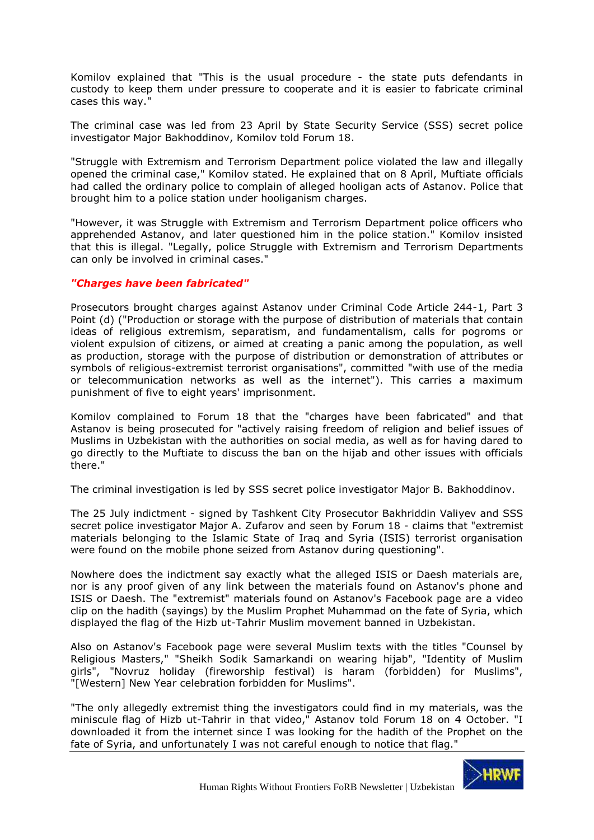Komilov explained that "This is the usual procedure - the state puts defendants in custody to keep them under pressure to cooperate and it is easier to fabricate criminal cases this way."

The criminal case was led from 23 April by State Security Service (SSS) secret police investigator Major Bakhoddinov, Komilov told Forum 18.

"Struggle with Extremism and Terrorism Department police violated the law and illegally opened the criminal case," Komilov stated. He explained that on 8 April, Muftiate officials had called the ordinary police to complain of alleged hooligan acts of Astanov. Police that brought him to a police station under hooliganism charges.

"However, it was Struggle with Extremism and Terrorism Department police officers who apprehended Astanov, and later questioned him in the police station." Komilov insisted that this is illegal. "Legally, police Struggle with Extremism and Terrorism Departments can only be involved in criminal cases."

# *"Charges have been fabricated"*

Prosecutors brought charges against Astanov under Criminal Code Article 244-1, Part 3 Point (d) ("Production or storage with the purpose of distribution of materials that contain ideas of religious extremism, separatism, and fundamentalism, calls for pogroms or violent expulsion of citizens, or aimed at creating a panic among the population, as well as production, storage with the purpose of distribution or demonstration of attributes or symbols of religious-extremist terrorist organisations", committed "with use of the media or telecommunication networks as well as the internet"). This carries a maximum punishment of five to eight years' imprisonment.

Komilov complained to Forum 18 that the "charges have been fabricated" and that Astanov is being prosecuted for "actively raising freedom of religion and belief issues of Muslims in Uzbekistan with the authorities on social media, as well as for having dared to go directly to the Muftiate to discuss the ban on the hijab and other issues with officials there."

The criminal investigation is led by SSS secret police investigator Major B. Bakhoddinov.

The 25 July indictment - signed by Tashkent City Prosecutor Bakhriddin Valiyev and SSS secret police investigator Major A. Zufarov and seen by Forum 18 - claims that "extremist materials belonging to the Islamic State of Iraq and Syria (ISIS) terrorist organisation were found on the mobile phone seized from Astanov during questioning".

Nowhere does the indictment say exactly what the alleged ISIS or Daesh materials are, nor is any proof given of any link between the materials found on Astanov's phone and ISIS or Daesh. The "extremist" materials found on Astanov's Facebook page are a video clip on the hadith (sayings) by the Muslim Prophet Muhammad on the fate of Syria, which displayed the flag of the Hizb ut-Tahrir Muslim movement banned in Uzbekistan.

Also on Astanov's Facebook page were several Muslim texts with the titles "Counsel by Religious Masters," "Sheikh Sodik Samarkandi on wearing hijab", "Identity of Muslim girls", "Novruz holiday (fireworship festival) is haram (forbidden) for Muslims", "[Western] New Year celebration forbidden for Muslims".

"The only allegedly extremist thing the investigators could find in my materials, was the miniscule flag of Hizb ut-Tahrir in that video," Astanov told Forum 18 on 4 October. "I downloaded it from the internet since I was looking for the hadith of the Prophet on the fate of Syria, and unfortunately I was not careful enough to notice that flag."

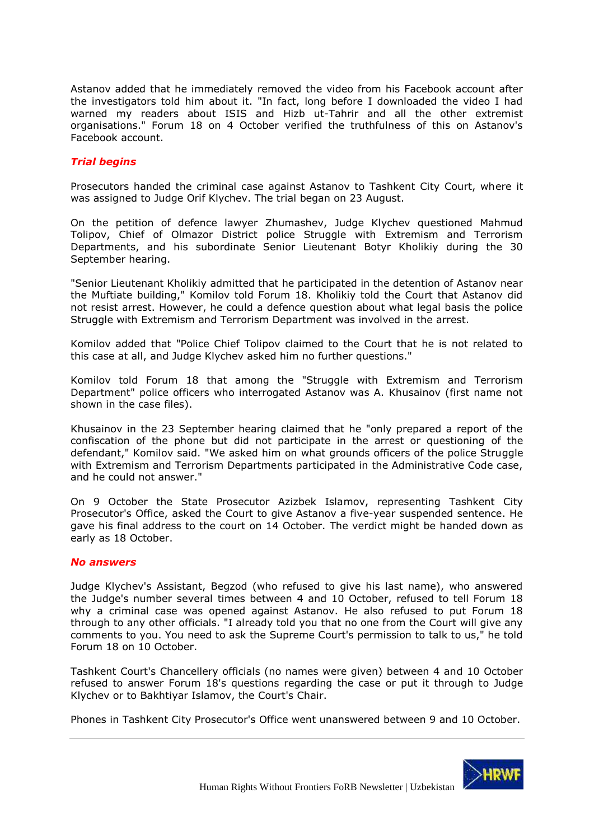Astanov added that he immediately removed the video from his Facebook account after the investigators told him about it. "In fact, long before I downloaded the video I had warned my readers about ISIS and Hizb ut-Tahrir and all the other extremist organisations." Forum 18 on 4 October verified the truthfulness of this on Astanov's Facebook account.

### *Trial begins*

Prosecutors handed the criminal case against Astanov to Tashkent City Court, where it was assigned to Judge Orif Klychev. The trial began on 23 August.

On the petition of defence lawyer Zhumashev, Judge Klychev questioned Mahmud Tolipov, Chief of Olmazor District police Struggle with Extremism and Terrorism Departments, and his subordinate Senior Lieutenant Botyr Kholikiy during the 30 September hearing.

"Senior Lieutenant Kholikiy admitted that he participated in the detention of Astanov near the Muftiate building," Komilov told Forum 18. Kholikiy told the Court that Astanov did not resist arrest. However, he could a defence question about what legal basis the police Struggle with Extremism and Terrorism Department was involved in the arrest.

Komilov added that "Police Chief Tolipov claimed to the Court that he is not related to this case at all, and Judge Klychev asked him no further questions."

Komilov told Forum 18 that among the "Struggle with Extremism and Terrorism Department" police officers who interrogated Astanov was A. Khusainov (first name not shown in the case files).

Khusainov in the 23 September hearing claimed that he "only prepared a report of the confiscation of the phone but did not participate in the arrest or questioning of the defendant," Komilov said. "We asked him on what grounds officers of the police Struggle with Extremism and Terrorism Departments participated in the Administrative Code case, and he could not answer."

On 9 October the State Prosecutor Azizbek Islamov, representing Tashkent City Prosecutor's Office, asked the Court to give Astanov a five-year suspended sentence. He gave his final address to the court on 14 October. The verdict might be handed down as early as 18 October.

#### *No answers*

Judge Klychev's Assistant, Begzod (who refused to give his last name), who answered the Judge's number several times between 4 and 10 October, refused to tell Forum 18 why a criminal case was opened against Astanov. He also refused to put Forum 18 through to any other officials. "I already told you that no one from the Court will give any comments to you. You need to ask the Supreme Court's permission to talk to us," he told Forum 18 on 10 October.

Tashkent Court's Chancellery officials (no names were given) between 4 and 10 October refused to answer Forum 18's questions regarding the case or put it through to Judge Klychev or to Bakhtiyar Islamov, the Court's Chair.

Phones in Tashkent City Prosecutor's Office went unanswered between 9 and 10 October.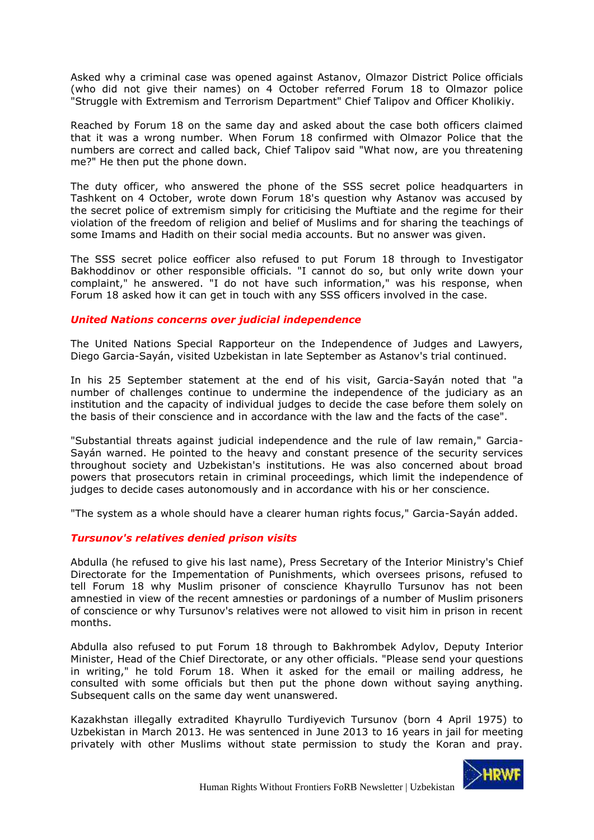Asked why a criminal case was opened against Astanov, Olmazor District Police officials (who did not give their names) on 4 October referred Forum 18 to Olmazor police "Struggle with Extremism and Terrorism Department" Chief Talipov and Officer Kholikiy.

Reached by Forum 18 on the same day and asked about the case both officers claimed that it was a wrong number. When Forum 18 confirmed with Olmazor Police that the numbers are correct and called back, Chief Talipov said "What now, are you threatening me?" He then put the phone down.

The duty officer, who answered the phone of the SSS secret police headquarters in Tashkent on 4 October, wrote down Forum 18's question why Astanov was accused by the secret police of extremism simply for criticising the Muftiate and the regime for their violation of the freedom of religion and belief of Muslims and for sharing the teachings of some Imams and Hadith on their social media accounts. But no answer was given.

The SSS secret police eofficer also refused to put Forum 18 through to Investigator Bakhoddinov or other responsible officials. "I cannot do so, but only write down your complaint," he answered. "I do not have such information," was his response, when Forum 18 asked how it can get in touch with any SSS officers involved in the case.

#### *United Nations concerns over judicial independence*

The United Nations Special Rapporteur on the Independence of Judges and Lawyers, Diego Garcia-Sayán, visited Uzbekistan in late September as Astanov's trial continued.

In his 25 September statement at the end of his visit, Garcia-Sayán noted that "a number of challenges continue to undermine the independence of the judiciary as an institution and the capacity of individual judges to decide the case before them solely on the basis of their conscience and in accordance with the law and the facts of the case".

"Substantial threats against judicial independence and the rule of law remain," Garcia-Sayán warned. He pointed to the heavy and constant presence of the security services throughout society and Uzbekistan's institutions. He was also concerned about broad powers that prosecutors retain in criminal proceedings, which limit the independence of judges to decide cases autonomously and in accordance with his or her conscience.

"The system as a whole should have a clearer human rights focus," Garcia-Sayán added.

# *Tursunov's relatives denied prison visits*

Abdulla (he refused to give his last name), Press Secretary of the Interior Ministry's Chief Directorate for the Impementation of Punishments, which oversees prisons, refused to tell Forum 18 why Muslim prisoner of conscience Khayrullo Tursunov has not been amnestied in view of the recent amnesties or pardonings of a number of Muslim prisoners of conscience or why Tursunov's relatives were not allowed to visit him in prison in recent months.

Abdulla also refused to put Forum 18 through to Bakhrombek Adylov, Deputy Interior Minister, Head of the Chief Directorate, or any other officials. "Please send your questions in writing," he told Forum 18. When it asked for the email or mailing address, he consulted with some officials but then put the phone down without saying anything. Subsequent calls on the same day went unanswered.

Kazakhstan illegally extradited Khayrullo Turdiyevich Tursunov (born 4 April 1975) to Uzbekistan in March 2013. He was sentenced in June 2013 to 16 years in jail for meeting privately with other Muslims without state permission to study the Koran and pray.

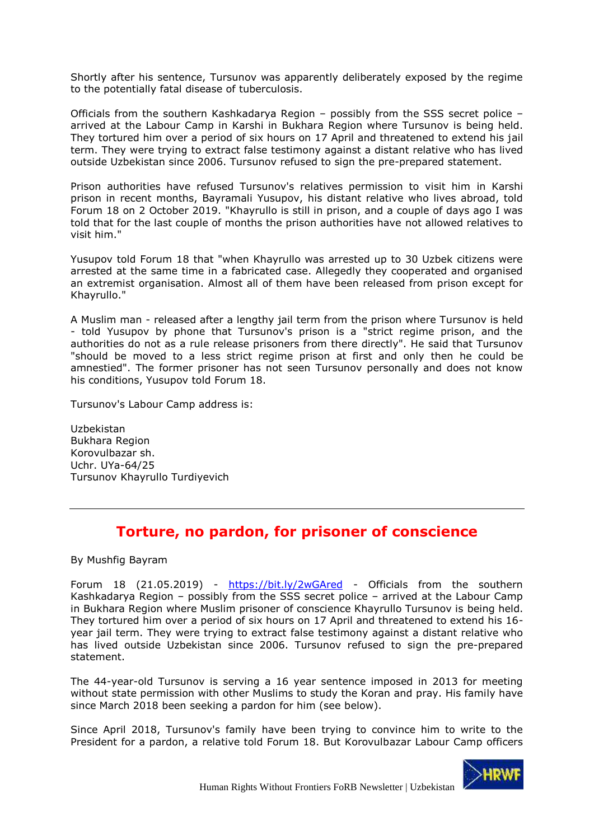Shortly after his sentence, Tursunov was apparently deliberately exposed by the regime to the potentially fatal disease of tuberculosis.

Officials from the southern Kashkadarya Region – possibly from the SSS secret police – arrived at the Labour Camp in Karshi in Bukhara Region where Tursunov is being held. They tortured him over a period of six hours on 17 April and threatened to extend his jail term. They were trying to extract false testimony against a distant relative who has lived outside Uzbekistan since 2006. Tursunov refused to sign the pre-prepared statement.

Prison authorities have refused Tursunov's relatives permission to visit him in Karshi prison in recent months, Bayramali Yusupov, his distant relative who lives abroad, told Forum 18 on 2 October 2019. "Khayrullo is still in prison, and a couple of days ago I was told that for the last couple of months the prison authorities have not allowed relatives to visit him."

Yusupov told Forum 18 that "when Khayrullo was arrested up to 30 Uzbek citizens were arrested at the same time in a fabricated case. Allegedly they cooperated and organised an extremist organisation. Almost all of them have been released from prison except for Khayrullo."

A Muslim man - released after a lengthy jail term from the prison where Tursunov is held - told Yusupov by phone that Tursunov's prison is a "strict regime prison, and the authorities do not as a rule release prisoners from there directly". He said that Tursunov "should be moved to a less strict regime prison at first and only then he could be amnestied". The former prisoner has not seen Tursunov personally and does not know his conditions, Yusupov told Forum 18.

Tursunov's Labour Camp address is:

Uzbekistan Bukhara Region Korovulbazar sh. Uchr. UYa-64/25 Tursunov Khayrullo Turdiyevich

# **Torture, no pardon, for prisoner of conscience**

<span id="page-23-0"></span>By Mushfig Bayram

Forum 18 (21.05.2019) - <https://bit.ly/2wGAred> - Officials from the southern Kashkadarya Region – possibly from the SSS secret police – arrived at the Labour Camp in Bukhara Region where Muslim prisoner of conscience Khayrullo Tursunov is being held. They tortured him over a period of six hours on 17 April and threatened to extend his 16 year jail term. They were trying to extract false testimony against a distant relative who has lived outside Uzbekistan since 2006. Tursunov refused to sign the pre-prepared statement.

The 44-year-old Tursunov is serving a 16 year sentence imposed in 2013 for meeting without state permission with other Muslims to study the Koran and pray. His family have since March 2018 been seeking a pardon for him (see below).

Since April 2018, Tursunov's family have been trying to convince him to write to the President for a pardon, a relative told Forum 18. But Korovulbazar Labour Camp officers

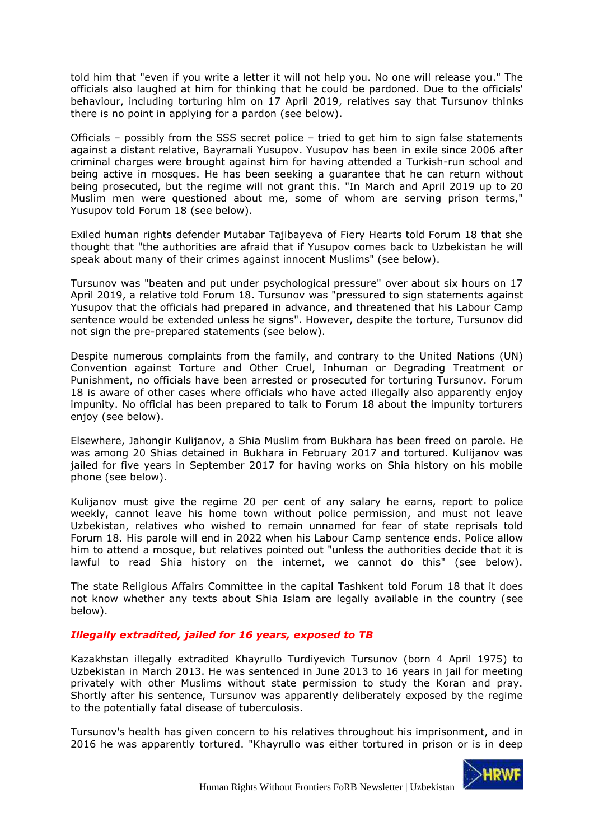told him that "even if you write a letter it will not help you. No one will release you." The officials also laughed at him for thinking that he could be pardoned. Due to the officials' behaviour, including torturing him on 17 April 2019, relatives say that Tursunov thinks there is no point in applying for a pardon (see below).

Officials – possibly from the SSS secret police – tried to get him to sign false statements against a distant relative, Bayramali Yusupov. Yusupov has been in exile since 2006 after criminal charges were brought against him for having attended a Turkish-run school and being active in mosques. He has been seeking a guarantee that he can return without being prosecuted, but the regime will not grant this. "In March and April 2019 up to 20 Muslim men were questioned about me, some of whom are serving prison terms," Yusupov told Forum 18 (see below).

Exiled human rights defender Mutabar Tajibayeva of Fiery Hearts told Forum 18 that she thought that "the authorities are afraid that if Yusupov comes back to Uzbekistan he will speak about many of their crimes against innocent Muslims" (see below).

Tursunov was "beaten and put under psychological pressure" over about six hours on 17 April 2019, a relative told Forum 18. Tursunov was "pressured to sign statements against Yusupov that the officials had prepared in advance, and threatened that his Labour Camp sentence would be extended unless he signs". However, despite the torture, Tursunov did not sign the pre-prepared statements (see below).

Despite numerous complaints from the family, and contrary to the United Nations (UN) Convention against Torture and Other Cruel, Inhuman or Degrading Treatment or Punishment, no officials have been arrested or prosecuted for torturing Tursunov. Forum 18 is aware of other cases where officials who have acted illegally also apparently enjoy impunity. No official has been prepared to talk to Forum 18 about the impunity torturers enjoy (see below).

Elsewhere, Jahongir Kulijanov, a Shia Muslim from Bukhara has been freed on parole. He was among 20 Shias detained in Bukhara in February 2017 and tortured. Kulijanov was jailed for five years in September 2017 for having works on Shia history on his mobile phone (see below).

Kulijanov must give the regime 20 per cent of any salary he earns, report to police weekly, cannot leave his home town without police permission, and must not leave Uzbekistan, relatives who wished to remain unnamed for fear of state reprisals told Forum 18. His parole will end in 2022 when his Labour Camp sentence ends. Police allow him to attend a mosque, but relatives pointed out "unless the authorities decide that it is lawful to read Shia history on the internet, we cannot do this" (see below).

The state Religious Affairs Committee in the capital Tashkent told Forum 18 that it does not know whether any texts about Shia Islam are legally available in the country (see below).

# *Illegally extradited, jailed for 16 years, exposed to TB*

Kazakhstan illegally extradited Khayrullo Turdiyevich Tursunov (born 4 April 1975) to Uzbekistan in March 2013. He was sentenced in June 2013 to 16 years in jail for meeting privately with other Muslims without state permission to study the Koran and pray. Shortly after his sentence, Tursunov was apparently deliberately exposed by the regime to the potentially fatal disease of tuberculosis.

Tursunov's health has given concern to his relatives throughout his imprisonment, and in 2016 he was apparently tortured. "Khayrullo was either tortured in prison or is in deep

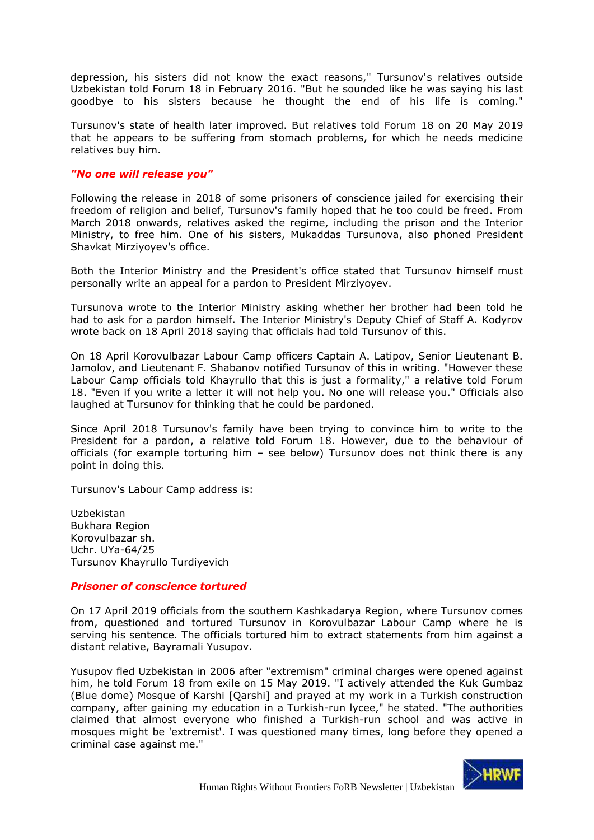depression, his sisters did not know the exact reasons," Tursunov's relatives outside Uzbekistan told Forum 18 in February 2016. "But he sounded like he was saying his last goodbye to his sisters because he thought the end of his life is coming."

Tursunov's state of health later improved. But relatives told Forum 18 on 20 May 2019 that he appears to be suffering from stomach problems, for which he needs medicine relatives buy him.

#### *"No one will release you"*

Following the release in 2018 of some prisoners of conscience jailed for exercising their freedom of religion and belief, Tursunov's family hoped that he too could be freed. From March 2018 onwards, relatives asked the regime, including the prison and the Interior Ministry, to free him. One of his sisters, Mukaddas Tursunova, also phoned President Shavkat Mirziyoyev's office.

Both the Interior Ministry and the President's office stated that Tursunov himself must personally write an appeal for a pardon to President Mirziyoyev.

Tursunova wrote to the Interior Ministry asking whether her brother had been told he had to ask for a pardon himself. The Interior Ministry's Deputy Chief of Staff A. Kodyrov wrote back on 18 April 2018 saying that officials had told Tursunov of this.

On 18 April Korovulbazar Labour Camp officers Captain A. Latipov, Senior Lieutenant B. Jamolov, and Lieutenant F. Shabanov notified Tursunov of this in writing. "However these Labour Camp officials told Khayrullo that this is just a formality," a relative told Forum 18. "Even if you write a letter it will not help you. No one will release you." Officials also laughed at Tursunov for thinking that he could be pardoned.

Since April 2018 Tursunov's family have been trying to convince him to write to the President for a pardon, a relative told Forum 18. However, due to the behaviour of officials (for example torturing him – see below) Tursunov does not think there is any point in doing this.

Tursunov's Labour Camp address is:

Uzbekistan Bukhara Region Korovulbazar sh. Uchr. UYa-64/25 Tursunov Khayrullo Turdiyevich

#### *Prisoner of conscience tortured*

On 17 April 2019 officials from the southern Kashkadarya Region, where Tursunov comes from, questioned and tortured Tursunov in Korovulbazar Labour Camp where he is serving his sentence. The officials tortured him to extract statements from him against a distant relative, Bayramali Yusupov.

Yusupov fled Uzbekistan in 2006 after "extremism" criminal charges were opened against him, he told Forum 18 from exile on 15 May 2019. "I actively attended the Kuk Gumbaz (Blue dome) Mosque of Karshi [Qarshi] and prayed at my work in a Turkish construction company, after gaining my education in a Turkish-run lycee," he stated. "The authorities claimed that almost everyone who finished a Turkish-run school and was active in mosques might be 'extremist'. I was questioned many times, long before they opened a criminal case against me."

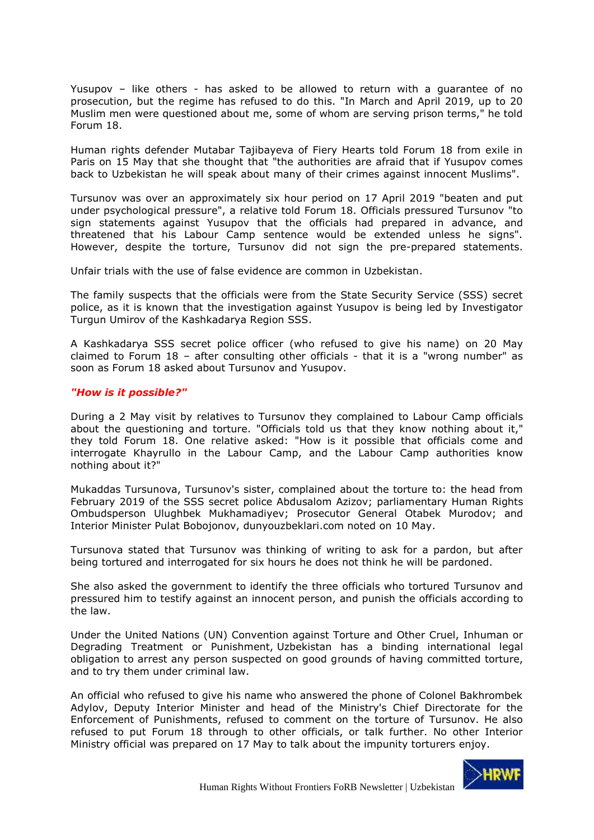Yusupov – like others - has asked to be allowed to return with a guarantee of no prosecution, but the regime has refused to do this. "In March and April 2019, up to 20 Muslim men were questioned about me, some of whom are serving prison terms," he told Forum 18.

Human rights defender Mutabar Tajibayeva of Fiery Hearts told Forum 18 from exile in Paris on 15 May that she thought that "the authorities are afraid that if Yusupov comes back to Uzbekistan he will speak about many of their crimes against innocent Muslims".

Tursunov was over an approximately six hour period on 17 April 2019 "beaten and put under psychological pressure", a relative told Forum 18. Officials pressured Tursunov "to sign statements against Yusupov that the officials had prepared in advance, and threatened that his Labour Camp sentence would be extended unless he signs". However, despite the torture, Tursunov did not sign the pre-prepared statements.

Unfair trials with the use of false evidence are common in Uzbekistan.

The family suspects that the officials were from the State Security Service (SSS) secret police, as it is known that the investigation against Yusupov is being led by Investigator Turgun Umirov of the Kashkadarya Region SSS.

A Kashkadarya SSS secret police officer (who refused to give his name) on 20 May claimed to Forum 18 – after consulting other officials - that it is a "wrong number" as soon as Forum 18 asked about Tursunov and Yusupov.

#### *"How is it possible?"*

During a 2 May visit by relatives to Tursunov they complained to Labour Camp officials about the questioning and torture. "Officials told us that they know nothing about it," they told Forum 18. One relative asked: "How is it possible that officials come and interrogate Khayrullo in the Labour Camp, and the Labour Camp authorities know nothing about it?"

Mukaddas Tursunova, Tursunov's sister, complained about the torture to: the head from February 2019 of the SSS secret police Abdusalom Azizov; parliamentary Human Rights Ombudsperson Ulughbek Mukhamadiyev; Prosecutor General Otabek Murodov; and Interior Minister Pulat Bobojonov, dunyouzbeklari.com noted on 10 May.

Tursunova stated that Tursunov was thinking of writing to ask for a pardon, but after being tortured and interrogated for six hours he does not think he will be pardoned.

She also asked the government to identify the three officials who tortured Tursunov and pressured him to testify against an innocent person, and punish the officials according to the law.

Under the United Nations (UN) Convention against Torture and Other Cruel, Inhuman or Degrading Treatment or Punishment, Uzbekistan has a binding international legal obligation to arrest any person suspected on good grounds of having committed torture, and to try them under criminal law.

An official who refused to give his name who answered the phone of Colonel Bakhrombek Adylov, Deputy Interior Minister and head of the Ministry's Chief Directorate for the Enforcement of Punishments, refused to comment on the torture of Tursunov. He also refused to put Forum 18 through to other officials, or talk further. No other Interior Ministry official was prepared on 17 May to talk about the impunity torturers enjoy.

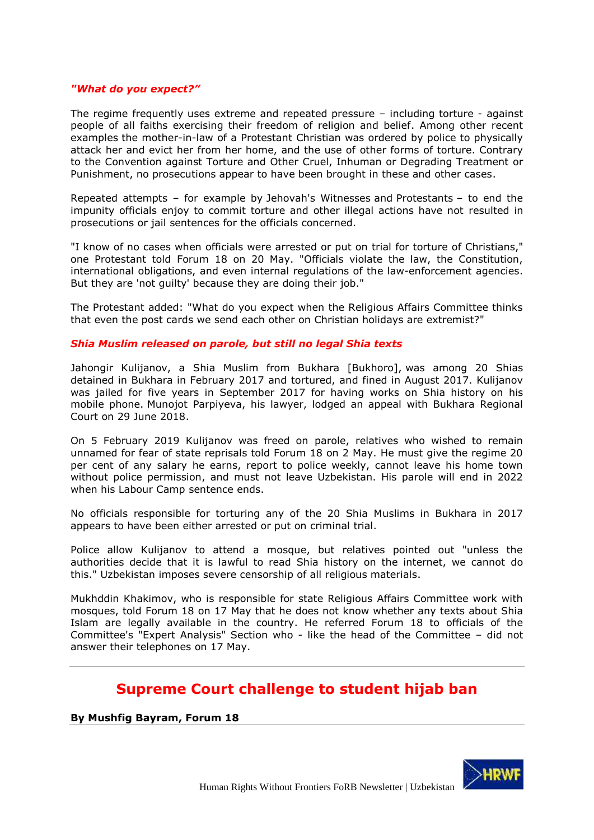#### *"What do you expect?"*

The regime frequently uses extreme and repeated pressure – including torture - against people of all faiths exercising their freedom of religion and belief. Among other recent examples the mother-in-law of a Protestant Christian was ordered by police to physically attack her and evict her from her home, and the use of other forms of torture. Contrary to the Convention against Torture and Other Cruel, Inhuman or Degrading Treatment or Punishment, no prosecutions appear to have been brought in these and other cases.

Repeated attempts – for example by Jehovah's Witnesses and Protestants – to end the impunity officials enjoy to commit torture and other illegal actions have not resulted in prosecutions or jail sentences for the officials concerned.

"I know of no cases when officials were arrested or put on trial for torture of Christians," one Protestant told Forum 18 on 20 May. "Officials violate the law, the Constitution, international obligations, and even internal regulations of the law-enforcement agencies. But they are 'not guilty' because they are doing their job."

The Protestant added: "What do you expect when the Religious Affairs Committee thinks that even the post cards we send each other on Christian holidays are extremist?"

#### *Shia Muslim released on parole, but still no legal Shia texts*

Jahongir Kulijanov, a Shia Muslim from Bukhara [Bukhoro], was among 20 Shias detained in Bukhara in February 2017 and tortured, and fined in August 2017. Kulijanov was jailed for five years in September 2017 for having works on Shia history on his mobile phone. Munojot Parpiyeva, his lawyer, lodged an appeal with Bukhara Regional Court on 29 June 2018.

On 5 February 2019 Kulijanov was freed on parole, relatives who wished to remain unnamed for fear of state reprisals told Forum 18 on 2 May. He must give the regime 20 per cent of any salary he earns, report to police weekly, cannot leave his home town without police permission, and must not leave Uzbekistan. His parole will end in 2022 when his Labour Camp sentence ends.

No officials responsible for torturing any of the 20 Shia Muslims in Bukhara in 2017 appears to have been either arrested or put on criminal trial.

Police allow Kulijanov to attend a mosque, but relatives pointed out "unless the authorities decide that it is lawful to read Shia history on the internet, we cannot do this." Uzbekistan imposes severe censorship of all religious materials.

Mukhddin Khakimov, who is responsible for state Religious Affairs Committee work with mosques, told Forum 18 on 17 May that he does not know whether any texts about Shia Islam are legally available in the country. He referred Forum 18 to officials of the Committee's "Expert Analysis" Section who - like the head of the Committee – did not answer their telephones on 17 May.

# **Supreme Court challenge to student hijab ban**

<span id="page-27-0"></span>**By Mushfig Bayram, Forum 18**

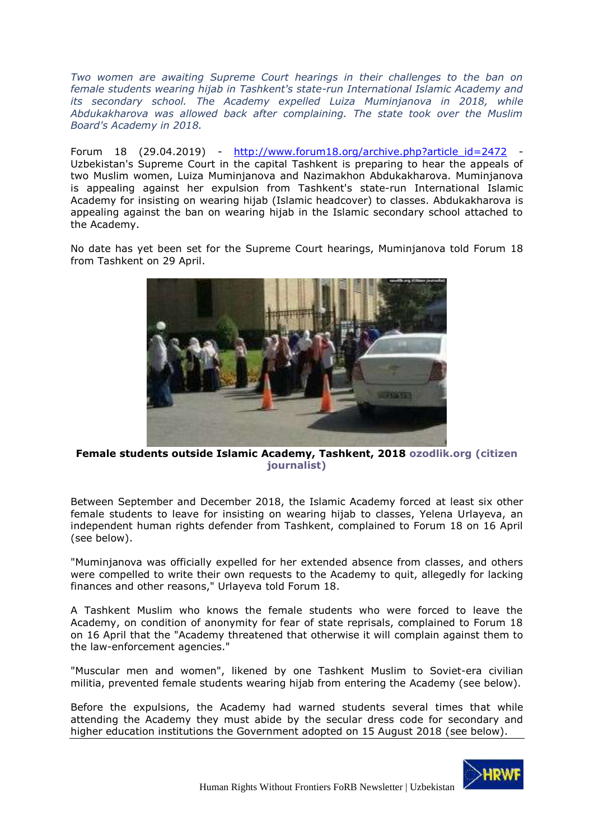*Two women are awaiting Supreme Court hearings in their challenges to the ban on female students wearing hijab in Tashkent's state-run International Islamic Academy and its secondary school. The Academy expelled Luiza Muminjanova in 2018, while Abdukakharova was allowed back after complaining. The state took over the Muslim Board's Academy in 2018.*

Forum 18 (29.04.2019) - [http://www.forum18.org/archive.php?article\\_id=2472](http://www.forum18.org/archive.php?article_id=2472) - Uzbekistan's Supreme Court in the capital Tashkent is preparing to hear the appeals of two Muslim women, Luiza Muminjanova and Nazimakhon Abdukakharova. Muminjanova is appealing against her expulsion from Tashkent's state-run International Islamic Academy for insisting on wearing hijab (Islamic headcover) to classes. Abdukakharova is appealing against the ban on wearing hijab in the Islamic secondary school attached to the Academy.

No date has yet been set for the Supreme Court hearings, Muminjanova told Forum 18 from Tashkent on 29 April.



**Female students outside Islamic Academy, Tashkent, 2018 ozodlik.org (citizen journalist)**

Between September and December 2018, the Islamic Academy forced at least six other female students to leave for insisting on wearing hijab to classes, Yelena Urlayeva, an independent human rights defender from Tashkent, complained to Forum 18 on 16 April (see below).

"Muminjanova was officially expelled for her extended absence from classes, and others were compelled to write their own requests to the Academy to quit, allegedly for lacking finances and other reasons," Urlayeva told Forum 18.

A Tashkent Muslim who knows the female students who were forced to leave the Academy, on condition of anonymity for fear of state reprisals, complained to Forum 18 on 16 April that the "Academy threatened that otherwise it will complain against them to the law-enforcement agencies."

"Muscular men and women", likened by one Tashkent Muslim to Soviet-era civilian militia, prevented female students wearing hijab from entering the Academy (see below).

Before the expulsions, the Academy had warned students several times that while attending the Academy they must abide by the secular dress code for secondary and higher education institutions the Government adopted on 15 August 2018 (see below).

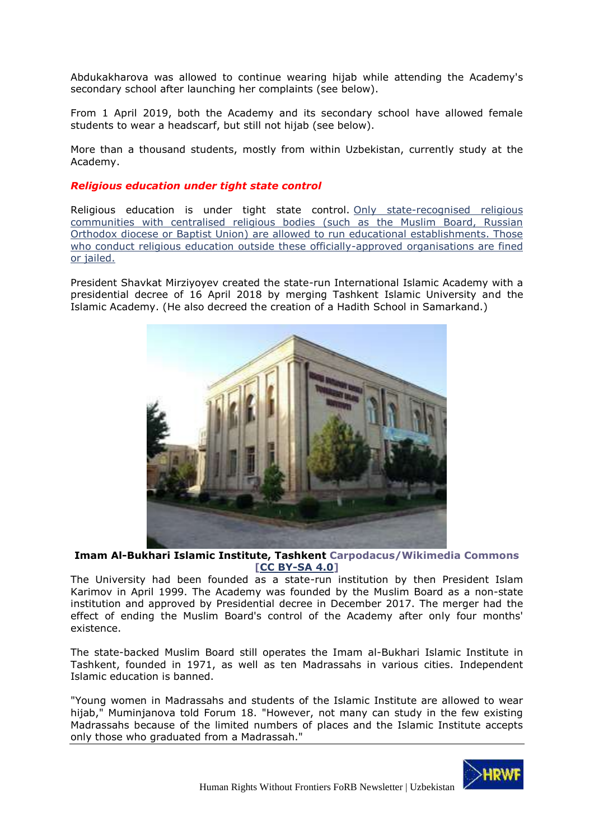Abdukakharova was allowed to continue wearing hijab while attending the Academy's secondary school after launching her complaints (see below).

From 1 April 2019, both the Academy and its secondary school have allowed female students to wear a headscarf, but still not hijab (see below).

More than a thousand students, mostly from within Uzbekistan, currently study at the Academy.

### *Religious education under tight state control*

Religious education is under tight state control. [Only state-recognised religious](http://www.forum18.org/archive.php?article_id=2314)  communities [with centralised religious bodies \(such as the Muslim Board, Russian](http://www.forum18.org/archive.php?article_id=2314)  [Orthodox diocese or Baptist Union\) are allowed to run educational establishments. Those](http://www.forum18.org/archive.php?article_id=2314)  [who conduct religious education outside these officially-approved](http://www.forum18.org/archive.php?article_id=2314) organisations are fined [or jailed.](http://www.forum18.org/archive.php?article_id=2314)

President Shavkat Mirziyoyev created the state-run International Islamic Academy with a presidential decree of 16 April 2018 by merging Tashkent Islamic University and the Islamic Academy. (He also decreed the creation of a Hadith School in Samarkand.)



**Imam Al-Bukhari Islamic Institute, Tashkent Carpodacus/Wikimedia Commons [\[CC BY-SA 4.0\]](https://creativecommons.org/licenses/by-sa/4.0/deed.en)**

The University had been founded as a state-run institution by then President Islam Karimov in April 1999. The Academy was founded by the Muslim Board as a non-state institution and approved by Presidential decree in December 2017. The merger had the effect of ending the Muslim Board's control of the Academy after only four months' existence.

The state-backed Muslim Board still operates the Imam al-Bukhari Islamic Institute in Tashkent, founded in 1971, as well as ten Madrassahs in various cities. Independent Islamic education is banned.

"Young women in Madrassahs and students of the Islamic Institute are allowed to wear hijab," Muminjanova told Forum 18. "However, not many can study in the few existing Madrassahs because of the limited numbers of places and the Islamic Institute accepts only those who graduated from a Madrassah."

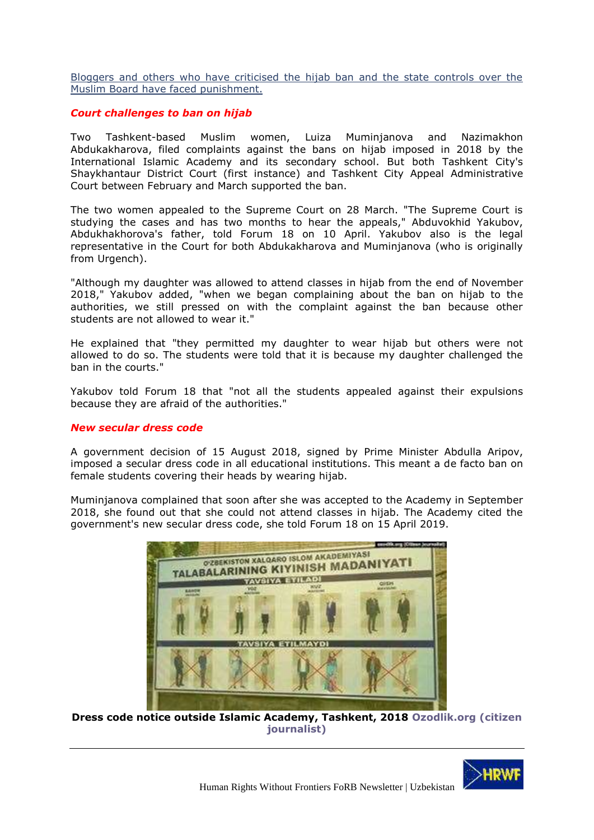[Bloggers and others who have criticised the hijab ban and the state controls over the](http://www.forum18.org/archive.php?article_id=2471)  [Muslim Board have faced punishment.](http://www.forum18.org/archive.php?article_id=2471)

### *Court challenges to ban on hijab*

Two Tashkent-based Muslim women, Luiza Muminjanova and Nazimakhon Abdukakharova, filed complaints against the bans on hijab imposed in 2018 by the International Islamic Academy and its secondary school. But both Tashkent City's Shaykhantaur District Court (first instance) and Tashkent City Appeal Administrative Court between February and March supported the ban.

The two women appealed to the Supreme Court on 28 March. "The Supreme Court is studying the cases and has two months to hear the appeals," Abduvokhid Yakubov, Abdukhakhorova's father, told Forum 18 on 10 April. Yakubov also is the legal representative in the Court for both Abdukakharova and Muminjanova (who is originally from Urgench).

"Although my daughter was allowed to attend classes in hijab from the end of November 2018," Yakubov added, "when we began complaining about the ban on hijab to the authorities, we still pressed on with the complaint against the ban because other students are not allowed to wear it."

He explained that "they permitted my daughter to wear hijab but others were not allowed to do so. The students were told that it is because my daughter challenged the ban in the courts."

Yakubov told Forum 18 that "not all the students appealed against their expulsions because they are afraid of the authorities."

#### *New secular dress code*

A government decision of 15 August 2018, signed by Prime Minister Abdulla Aripov, imposed a secular dress code in all educational institutions. This meant a de facto ban on female students covering their heads by wearing hijab.

Muminjanova complained that soon after she was accepted to the Academy in September 2018, she found out that she could not attend classes in hijab. The Academy cited the government's new secular dress code, she told Forum 18 on 15 April 2019.



**Dress code notice outside Islamic Academy, Tashkent, 2018 Ozodlik.org (citizen journalist)**

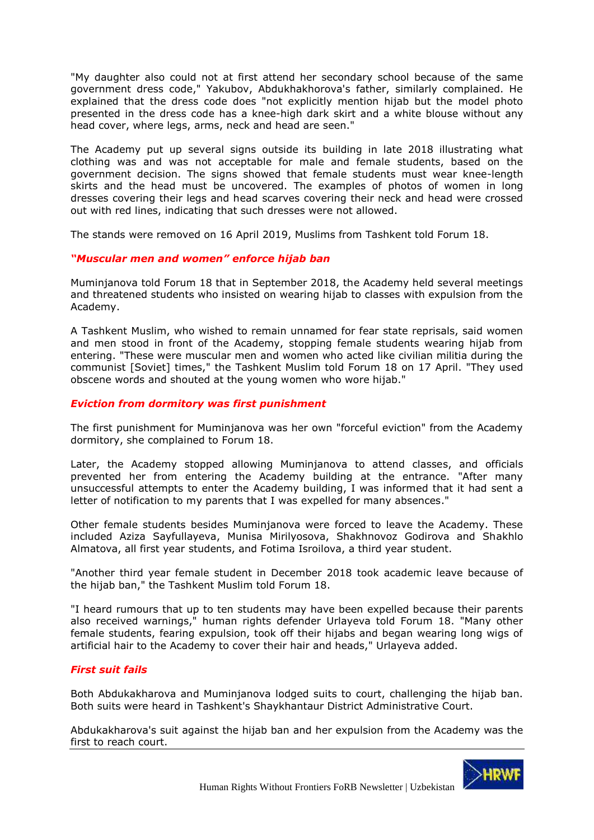"My daughter also could not at first attend her secondary school because of the same government dress code," Yakubov, Abdukhakhorova's father, similarly complained. He explained that the dress code does "not explicitly mention hijab but the model photo presented in the dress code has a knee-high dark skirt and a white blouse without any head cover, where legs, arms, neck and head are seen."

The Academy put up several signs outside its building in late 2018 illustrating what clothing was and was not acceptable for male and female students, based on the government decision. The signs showed that female students must wear knee-length skirts and the head must be uncovered. The examples of photos of women in long dresses covering their legs and head scarves covering their neck and head were crossed out with red lines, indicating that such dresses were not allowed.

The stands were removed on 16 April 2019, Muslims from Tashkent told Forum 18.

# *"Muscular men and women" enforce hijab ban*

Muminjanova told Forum 18 that in September 2018, the Academy held several meetings and threatened students who insisted on wearing hijab to classes with expulsion from the Academy.

A Tashkent Muslim, who wished to remain unnamed for fear state reprisals, said women and men stood in front of the Academy, stopping female students wearing hijab from entering. "These were muscular men and women who acted like civilian militia during the communist [Soviet] times," the Tashkent Muslim told Forum 18 on 17 April. "They used obscene words and shouted at the young women who wore hijab."

# *Eviction from dormitory was first punishment*

The first punishment for Muminjanova was her own "forceful eviction" from the Academy dormitory, she complained to Forum 18.

Later, the Academy stopped allowing Muminjanova to attend classes, and officials prevented her from entering the Academy building at the entrance. "After many unsuccessful attempts to enter the Academy building, I was informed that it had sent a letter of notification to my parents that I was expelled for many absences."

Other female students besides Muminjanova were forced to leave the Academy. These included Aziza Sayfullayeva, Munisa Mirilyosova, Shakhnovoz Godirova and Shakhlo Almatova, all first year students, and Fotima Isroilova, a third year student.

"Another third year female student in December 2018 took academic leave because of the hijab ban," the Tashkent Muslim told Forum 18.

"I heard rumours that up to ten students may have been expelled because their parents also received warnings," human rights defender Urlayeva told Forum 18. "Many other female students, fearing expulsion, took off their hijabs and began wearing long wigs of artificial hair to the Academy to cover their hair and heads," Urlayeva added.

#### *First suit fails*

Both Abdukakharova and Muminjanova lodged suits to court, challenging the hijab ban. Both suits were heard in Tashkent's Shaykhantaur District Administrative Court.

Abdukakharova's suit against the hijab ban and her expulsion from the Academy was the first to reach court.

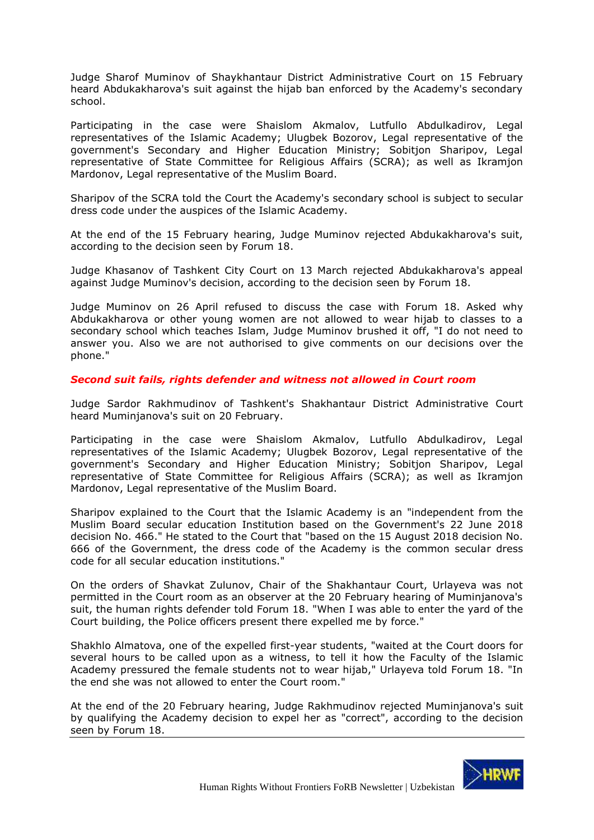Judge Sharof Muminov of Shaykhantaur District Administrative Court on 15 February heard Abdukakharova's suit against the hijab ban enforced by the Academy's secondary school.

Participating in the case were Shaislom Akmalov, Lutfullo Abdulkadirov, Legal representatives of the Islamic Academy; Ulugbek Bozorov, Legal representative of the government's Secondary and Higher Education Ministry; Sobitjon Sharipov, Legal representative of State Committee for Religious Affairs (SCRA); as well as Ikramjon Mardonov, Legal representative of the Muslim Board.

Sharipov of the SCRA told the Court the Academy's secondary school is subject to secular dress code under the auspices of the Islamic Academy.

At the end of the 15 February hearing, Judge Muminov rejected Abdukakharova's suit, according to the decision seen by Forum 18.

Judge Khasanov of Tashkent City Court on 13 March rejected Abdukakharova's appeal against Judge Muminov's decision, according to the decision seen by Forum 18.

Judge Muminov on 26 April refused to discuss the case with Forum 18. Asked why Abdukakharova or other young women are not allowed to wear hijab to classes to a secondary school which teaches Islam, Judge Muminov brushed it off, "I do not need to answer you. Also we are not authorised to give comments on our decisions over the phone."

*Second suit fails, rights defender and witness not allowed in Court room*

Judge Sardor Rakhmudinov of Tashkent's Shakhantaur District Administrative Court heard Muminjanova's suit on 20 February.

Participating in the case were Shaislom Akmalov, Lutfullo Abdulkadirov, Legal representatives of the Islamic Academy; Ulugbek Bozorov, Legal representative of the government's Secondary and Higher Education Ministry; Sobitjon Sharipov, Legal representative of State Committee for Religious Affairs (SCRA); as well as Ikramjon Mardonov, Legal representative of the Muslim Board.

Sharipov explained to the Court that the Islamic Academy is an "independent from the Muslim Board secular education Institution based on the Government's 22 June 2018 decision No. 466." He stated to the Court that "based on the 15 August 2018 decision No. 666 of the Government, the dress code of the Academy is the common secular dress code for all secular education institutions."

On the orders of Shavkat Zulunov, Chair of the Shakhantaur Court, Urlayeva was not permitted in the Court room as an observer at the 20 February hearing of Muminjanova's suit, the human rights defender told Forum 18. "When I was able to enter the yard of the Court building, the Police officers present there expelled me by force."

Shakhlo Almatova, one of the expelled first-year students, "waited at the Court doors for several hours to be called upon as a witness, to tell it how the Faculty of the Islamic Academy pressured the female students not to wear hijab," Urlayeva told Forum 18. "In the end she was not allowed to enter the Court room."

At the end of the 20 February hearing, Judge Rakhmudinov rejected Muminjanova's suit by qualifying the Academy decision to expel her as "correct", according to the decision seen by Forum 18.

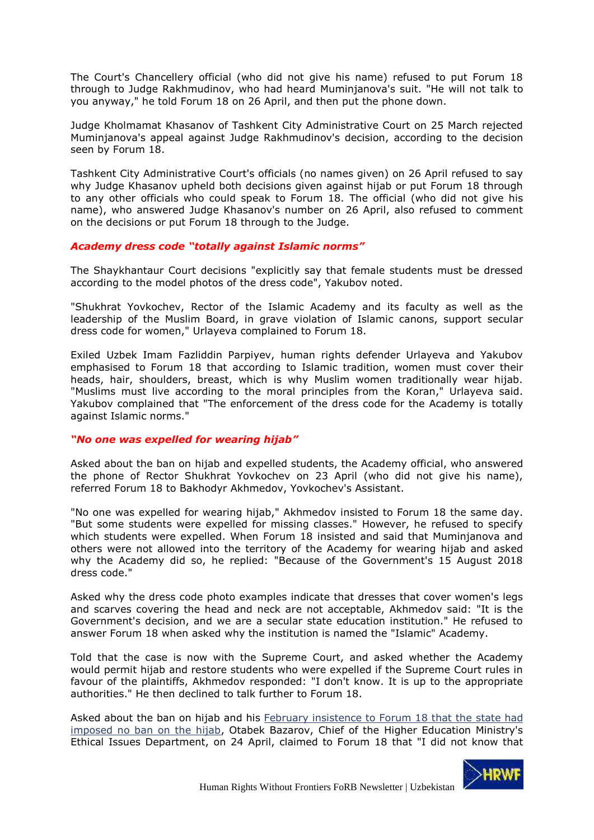The Court's Chancellery official (who did not give his name) refused to put Forum 18 through to Judge Rakhmudinov, who had heard Muminjanova's suit. "He will not talk to you anyway," he told Forum 18 on 26 April, and then put the phone down.

Judge Kholmamat Khasanov of Tashkent City Administrative Court on 25 March rejected Muminjanova's appeal against Judge Rakhmudinov's decision, according to the decision seen by Forum 18.

Tashkent City Administrative Court's officials (no names given) on 26 April refused to say why Judge Khasanov upheld both decisions given against hijab or put Forum 18 through to any other officials who could speak to Forum 18. The official (who did not give his name), who answered Judge Khasanov's number on 26 April, also refused to comment on the decisions or put Forum 18 through to the Judge.

# *Academy dress code "totally against Islamic norms"*

The Shaykhantaur Court decisions "explicitly say that female students must be dressed according to the model photos of the dress code", Yakubov noted.

"Shukhrat Yovkochev, Rector of the Islamic Academy and its faculty as well as the leadership of the Muslim Board, in grave violation of Islamic canons, support secular dress code for women," Urlayeva complained to Forum 18.

Exiled Uzbek Imam Fazliddin Parpiyev, human rights defender Urlayeva and Yakubov emphasised to Forum 18 that according to Islamic tradition, women must cover their heads, hair, shoulders, breast, which is why Muslim women traditionally wear hijab. "Muslims must live according to the moral principles from the Koran," Urlayeva said. Yakubov complained that "The enforcement of the dress code for the Academy is totally against Islamic norms."

#### *"No one was expelled for wearing hijab"*

Asked about the ban on hijab and expelled students, the Academy official, who answered the phone of Rector Shukhrat Yovkochev on 23 April (who did not give his name), referred Forum 18 to Bakhodyr Akhmedov, Yovkochev's Assistant.

"No one was expelled for wearing hijab," Akhmedov insisted to Forum 18 the same day. "But some students were expelled for missing classes." However, he refused to specify which students were expelled. When Forum 18 insisted and said that Muminjanova and others were not allowed into the territory of the Academy for wearing hijab and asked why the Academy did so, he replied: "Because of the Government's 15 August 2018 dress code."

Asked why the dress code photo examples indicate that dresses that cover women's legs and scarves covering the head and neck are not acceptable, Akhmedov said: "It is the Government's decision, and we are a secular state education institution." He refused to answer Forum 18 when asked why the institution is named the "Islamic" Academy.

Told that the case is now with the Supreme Court, and asked whether the Academy would permit hijab and restore students who were expelled if the Supreme Court rules in favour of the plaintiffs, Akhmedov responded: "I don't know. It is up to the appropriate authorities." He then declined to talk further to Forum 18.

Asked about the ban on hijab and his February insistence to Forum 18 that the state had [imposed no ban on the hijab,](http://www.forum18.org/archive.php?article_id=2451) Otabek Bazarov, Chief of the Higher Education Ministry's Ethical Issues Department, on 24 April, claimed to Forum 18 that "I did not know that

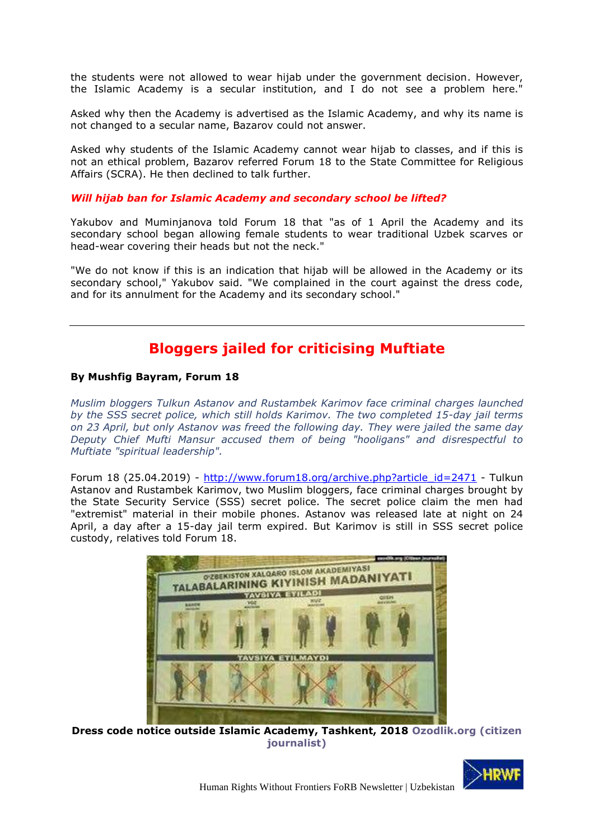the students were not allowed to wear hijab under the government decision. However, the Islamic Academy is a secular institution, and I do not see a problem here."

Asked why then the Academy is advertised as the Islamic Academy, and why its name is not changed to a secular name, Bazarov could not answer.

Asked why students of the Islamic Academy cannot wear hijab to classes, and if this is not an ethical problem, Bazarov referred Forum 18 to the State Committee for Religious Affairs (SCRA). He then declined to talk further.

#### *Will hijab ban for Islamic Academy and secondary school be lifted?*

Yakubov and Muminjanova told Forum 18 that "as of 1 April the Academy and its secondary school began allowing female students to wear traditional Uzbek scarves or head-wear covering their heads but not the neck."

"We do not know if this is an indication that hijab will be allowed in the Academy or its secondary school," Yakubov said. "We complained in the court against the dress code, and for its annulment for the Academy and its secondary school."

# **Bloggers jailed for criticising Muftiate**

#### <span id="page-34-0"></span>**By Mushfig Bayram, Forum 18**

*Muslim bloggers Tulkun Astanov and Rustambek Karimov face criminal charges launched by the SSS secret police, which still holds Karimov. The two completed 15-day jail terms on 23 April, but only Astanov was freed the following day. They were jailed the same day Deputy Chief Mufti Mansur accused them of being "hooligans" and disrespectful to Muftiate "spiritual leadership".*

Forum 18 (25.04.2019) - [http://www.forum18.org/archive.php?article\\_id=2471](http://www.forum18.org/archive.php?article_id=2471) - Tulkun Astanov and Rustambek Karimov, two Muslim bloggers, face criminal charges brought by the State Security Service (SSS) secret police. The secret police claim the men had "extremist" material in their mobile phones. Astanov was released late at night on 24 April, a day after a 15-day jail term expired. But Karimov is still in SSS secret police custody, relatives told Forum 18.



**Dress code notice outside Islamic Academy, Tashkent, 2018 Ozodlik.org (citizen journalist)**

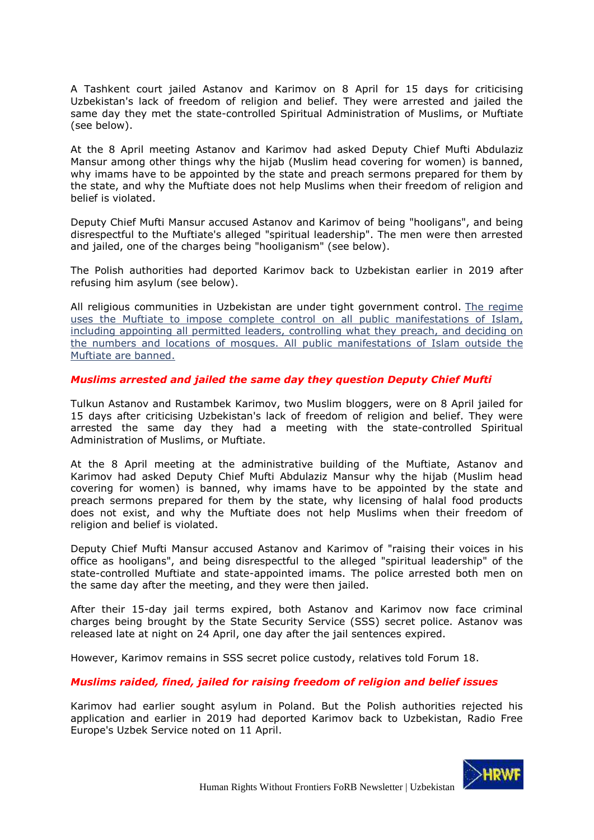A Tashkent court jailed Astanov and Karimov on 8 April for 15 days for criticising Uzbekistan's lack of freedom of religion and belief. They were arrested and jailed the same day they met the state-controlled Spiritual Administration of Muslims, or Muftiate (see below).

At the 8 April meeting Astanov and Karimov had asked Deputy Chief Mufti Abdulaziz Mansur among other things why the hijab (Muslim head covering for women) is banned, why imams have to be appointed by the state and preach sermons prepared for them by the state, and why the Muftiate does not help Muslims when their freedom of religion and belief is violated.

Deputy Chief Mufti Mansur accused Astanov and Karimov of being "hooligans", and being disrespectful to the Muftiate's alleged "spiritual leadership". The men were then arrested and jailed, one of the charges being "hooliganism" (see below).

The Polish authorities had deported Karimov back to Uzbekistan earlier in 2019 after refusing him asylum (see below).

All religious communities in Uzbekistan are under tight government control. [The regime](http://www.forum18.org/archive.php?article_id=2314)  [uses the Muftiate to impose complete control on all public manifestations of Islam,](http://www.forum18.org/archive.php?article_id=2314)  [including appointing all permitted leaders, controlling what they preach, and deciding on](http://www.forum18.org/archive.php?article_id=2314)  [the numbers and locations of mosques. All public manifestations of Islam outside the](http://www.forum18.org/archive.php?article_id=2314)  [Muftiate are banned.](http://www.forum18.org/archive.php?article_id=2314)

# *Muslims arrested and jailed the same day they question Deputy Chief Mufti*

Tulkun Astanov and Rustambek Karimov, two Muslim bloggers, were on 8 April jailed for 15 days after criticising Uzbekistan's lack of freedom of religion and belief. They were arrested the same day they had a meeting with the state-controlled Spiritual Administration of Muslims, or Muftiate.

At the 8 April meeting at the administrative building of the Muftiate, Astanov and Karimov had asked Deputy Chief Mufti Abdulaziz Mansur why the hijab (Muslim head covering for women) is banned, why imams have to be appointed by the state and preach sermons prepared for them by the state, why licensing of halal food products does not exist, and why the Muftiate does not help Muslims when their freedom of religion and belief is violated.

Deputy Chief Mufti Mansur accused Astanov and Karimov of "raising their voices in his office as hooligans", and being disrespectful to the alleged "spiritual leadership" of the state-controlled Muftiate and state-appointed imams. The police arrested both men on the same day after the meeting, and they were then jailed.

After their 15-day jail terms expired, both Astanov and Karimov now face criminal charges being brought by the State Security Service (SSS) secret police. Astanov was released late at night on 24 April, one day after the jail sentences expired.

However, Karimov remains in SSS secret police custody, relatives told Forum 18.

#### *Muslims raided, fined, jailed for raising freedom of religion and belief issues*

Karimov had earlier sought asylum in Poland. But the Polish authorities rejected his application and earlier in 2019 had deported Karimov back to Uzbekistan, Radio Free Europe's Uzbek Service noted on 11 April.

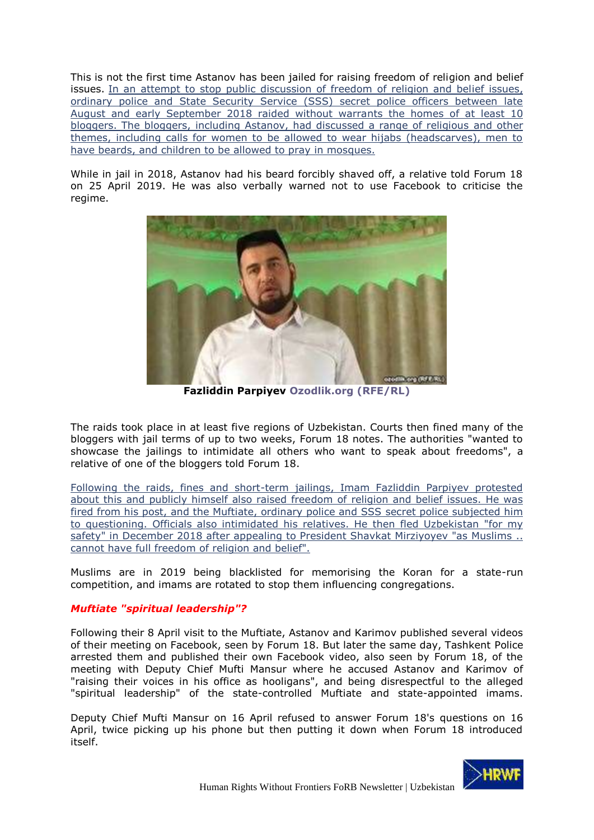This is not the first time Astanov has been jailed for raising freedom of religion and belief issues. [In an attempt to stop public discussion of freedom of religion and belief issues,](http://www.forum18.org/archive.php?article_id=2416)  [ordinary police and State Security Service \(SSS\) secret police officers between late](http://www.forum18.org/archive.php?article_id=2416) [August and early September 2018 raided without warrants the homes of at least 10](http://www.forum18.org/archive.php?article_id=2416)  [bloggers. The bloggers, including Astanov, had discussed a range of religious and other](http://www.forum18.org/archive.php?article_id=2416)  [themes, including calls for women to be allowed to wear hijabs \(headscarves\), men to](http://www.forum18.org/archive.php?article_id=2416)  [have beards, and children to be allowed to pray in mosques.](http://www.forum18.org/archive.php?article_id=2416)

While in jail in 2018, Astanov had his beard forcibly shaved off, a relative told Forum 18 on 25 April 2019. He was also verbally warned not to use Facebook to criticise the regime.



**Fazliddin Parpiyev Ozodlik.org (RFE/RL)**

The raids took place in at least five regions of Uzbekistan. Courts then fined many of the bloggers with jail terms of up to two weeks, Forum 18 notes. The authorities "wanted to showcase the jailings to intimidate all others who want to speak about freedoms", a relative of one of the bloggers told Forum 18.

[Following the raids, fines and short-term jailings, Imam Fazliddin Parpiyev protested](http://www.forum18.org/archive.php?article_id=2451)  [about this and publicly himself also raised freedom of religion and belief issues. He was](http://www.forum18.org/archive.php?article_id=2451)  [fired from his post, and the Muftiate, ordinary police and SSS](http://www.forum18.org/archive.php?article_id=2451) secret police subjected him [to questioning. Officials also intimidated his relatives. He then fled Uzbekistan "for my](http://www.forum18.org/archive.php?article_id=2451)  [safety" in December 2018 after appealing to President Shavkat Mirziyoyev "as Muslims](http://www.forum18.org/archive.php?article_id=2451) .. [cannot have full freedom of religion and belief".](http://www.forum18.org/archive.php?article_id=2451)

Muslims are in 2019 being blacklisted for memorising the Koran for a state-run competition, and imams are rotated to stop them influencing congregations.

# *Muftiate "spiritual leadership"?*

Following their 8 April visit to the Muftiate, Astanov and Karimov published several videos of their meeting on Facebook, seen by Forum 18. But later the same day, Tashkent Police arrested them and published their own Facebook video, also seen by Forum 18, of the meeting with Deputy Chief Mufti Mansur where he accused Astanov and Karimov of "raising their voices in his office as hooligans", and being disrespectful to the alleged "spiritual leadership" of the state-controlled Muftiate and state-appointed imams.

Deputy Chief Mufti Mansur on 16 April refused to answer Forum 18's questions on 16 April, twice picking up his phone but then putting it down when Forum 18 introduced itself.

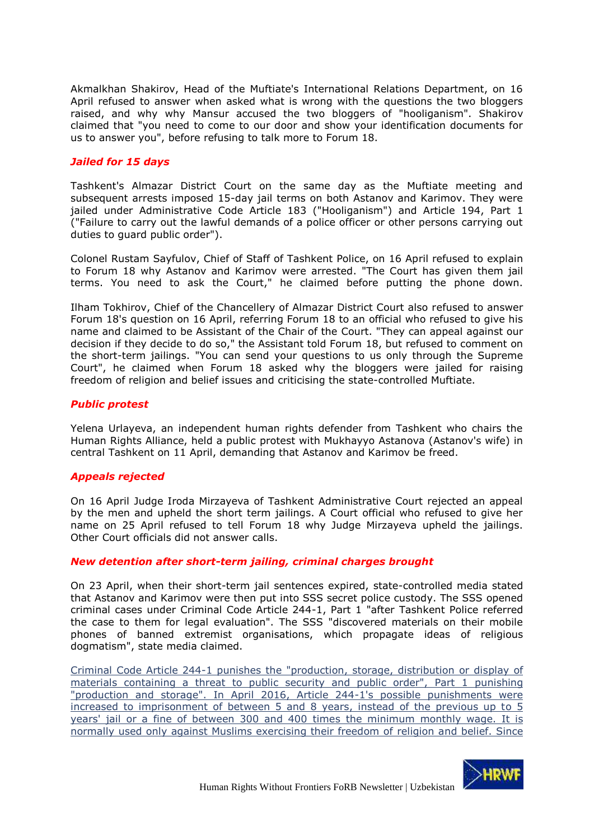Akmalkhan Shakirov, Head of the Muftiate's International Relations Department, on 16 April refused to answer when asked what is wrong with the questions the two bloggers raised, and why why Mansur accused the two bloggers of "hooliganism". Shakirov claimed that "you need to come to our door and show your identification documents for us to answer you", before refusing to talk more to Forum 18.

### *Jailed for 15 days*

Tashkent's Almazar District Court on the same day as the Muftiate meeting and subsequent arrests imposed 15-day jail terms on both Astanov and Karimov. They were jailed under Administrative Code Article 183 ("Hooliganism") and Article 194, Part 1 ("Failure to carry out the lawful demands of a police officer or other persons carrying out duties to guard public order").

Colonel Rustam Sayfulov, Chief of Staff of Tashkent Police, on 16 April refused to explain to Forum 18 why Astanov and Karimov were arrested. "The Court has given them jail terms. You need to ask the Court," he claimed before putting the phone down.

Ilham Tokhirov, Chief of the Chancellery of Almazar District Court also refused to answer Forum 18's question on 16 April, referring Forum 18 to an official who refused to give his name and claimed to be Assistant of the Chair of the Court. "They can appeal against our decision if they decide to do so," the Assistant told Forum 18, but refused to comment on the short-term jailings. "You can send your questions to us only through the Supreme Court", he claimed when Forum 18 asked why the bloggers were jailed for raising freedom of religion and belief issues and criticising the state-controlled Muftiate.

# *Public protest*

Yelena Urlayeva, an independent human rights defender from Tashkent who chairs the Human Rights Alliance, held a public protest with Mukhayyo Astanova (Astanov's wife) in central Tashkent on 11 April, demanding that Astanov and Karimov be freed.

# *Appeals rejected*

On 16 April Judge Iroda Mirzayeva of Tashkent Administrative Court rejected an appeal by the men and upheld the short term jailings. A Court official who refused to give her name on 25 April refused to tell Forum 18 why Judge Mirzayeva upheld the jailings. Other Court officials did not answer calls.

#### *New detention after short-term jailing, criminal charges brought*

On 23 April, when their short-term jail sentences expired, state-controlled media stated that Astanov and Karimov were then put into SSS secret police custody. The SSS opened criminal cases under Criminal Code Article 244-1, Part 1 "after Tashkent Police referred the case to them for legal evaluation". The SSS "discovered materials on their mobile phones of banned extremist organisations, which propagate ideas of religious dogmatism", state media claimed.

[Criminal Code Article 244-1 punishes the "production, storage, distribution or display of](http://www.forum18.org/archive.php?article_id=2314)  [materials containing a threat to public security and public order", Part 1 punishing](http://www.forum18.org/archive.php?article_id=2314)  ["production and storage". In April 2016, Article 244-1's possible punishments were](http://www.forum18.org/archive.php?article_id=2314)  [increased to imprisonment of between 5 and 8 years, instead of the previous up to 5](http://www.forum18.org/archive.php?article_id=2314)  [years' jail or a fine of between 300 and 400 times the minimum monthly wage. It is](http://www.forum18.org/archive.php?article_id=2314)  [normally used only against Muslims exercising their freedom of religion and belief. Since](http://www.forum18.org/archive.php?article_id=2314) 

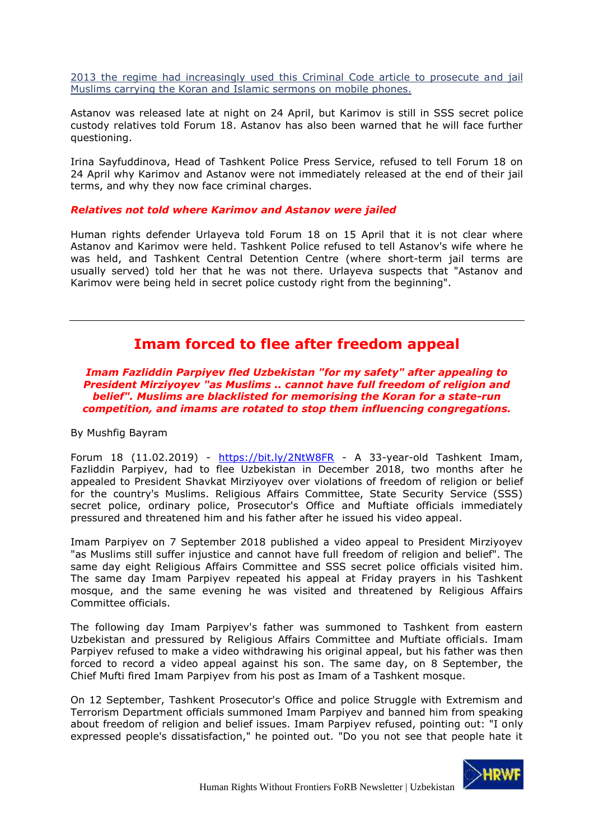[2013 the regime had increasingly used this Criminal Code article to prosecute and jail](http://www.forum18.org/archive.php?article_id=2314)  [Muslims carrying the Koran and Islamic sermons on](http://www.forum18.org/archive.php?article_id=2314) mobile phones.

Astanov was released late at night on 24 April, but Karimov is still in SSS secret police custody relatives told Forum 18. Astanov has also been warned that he will face further questioning.

Irina Sayfuddinova, Head of Tashkent Police Press Service, refused to tell Forum 18 on 24 April why Karimov and Astanov were not immediately released at the end of their jail terms, and why they now face criminal charges.

#### *Relatives not told where Karimov and Astanov were jailed*

Human rights defender Urlayeva told Forum 18 on 15 April that it is not clear where Astanov and Karimov were held. Tashkent Police refused to tell Astanov's wife where he was held, and Tashkent Central Detention Centre (where short-term jail terms are usually served) told her that he was not there. Urlayeva suspects that "Astanov and Karimov were being held in secret police custody right from the beginning".

# **Imam forced to flee after freedom appeal**

<span id="page-38-0"></span>*Imam Fazliddin Parpiyev fled Uzbekistan "for my safety" after appealing to President Mirziyoyev "as Muslims .. cannot have full freedom of religion and belief". Muslims are blacklisted for memorising the Koran for a state-run competition, and imams are rotated to stop them influencing congregations.*

By Mushfig Bayram

Forum 18 (11.02.2019) - <https://bit.ly/2NtW8FR> - A 33-year-old Tashkent Imam, Fazliddin Parpiyev, had to flee Uzbekistan in December 2018, two months after he appealed to President Shavkat Mirziyoyev over violations of freedom of religion or belief for the country's Muslims. Religious Affairs Committee, State Security Service (SSS) secret police, ordinary police, Prosecutor's Office and Muftiate officials immediately pressured and threatened him and his father after he issued his video appeal.

Imam Parpiyev on 7 September 2018 published a video appeal to President Mirziyoyev "as Muslims still suffer injustice and cannot have full freedom of religion and belief". The same day eight Religious Affairs Committee and SSS secret police officials visited him. The same day Imam Parpiyev repeated his appeal at Friday prayers in his Tashkent mosque, and the same evening he was visited and threatened by Religious Affairs Committee officials.

The following day Imam Parpiyev's father was summoned to Tashkent from eastern Uzbekistan and pressured by Religious Affairs Committee and Muftiate officials. Imam Parpiyev refused to make a video withdrawing his original appeal, but his father was then forced to record a video appeal against his son. The same day, on 8 September, the Chief Mufti fired Imam Parpiyev from his post as Imam of a Tashkent mosque.

On 12 September, Tashkent Prosecutor's Office and police Struggle with Extremism and Terrorism Department officials summoned Imam Parpiyev and banned him from speaking about freedom of religion and belief issues. Imam Parpiyev refused, pointing out: "I only expressed people's dissatisfaction," he pointed out. "Do you not see that people hate it

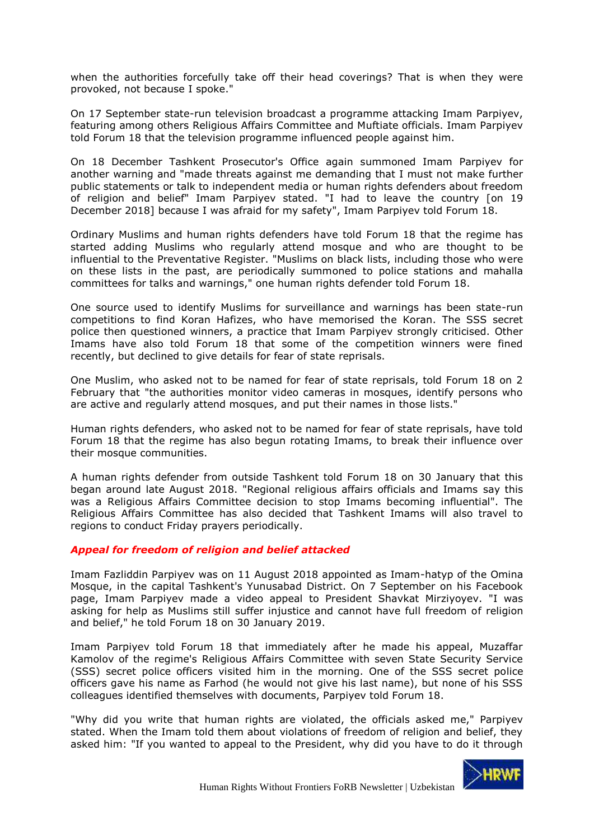when the authorities forcefully take off their head coverings? That is when they were provoked, not because I spoke."

On 17 September state-run television broadcast a programme attacking Imam Parpiyev, featuring among others Religious Affairs Committee and Muftiate officials. Imam Parpiyev told Forum 18 that the television programme influenced people against him.

On 18 December Tashkent Prosecutor's Office again summoned Imam Parpiyev for another warning and "made threats against me demanding that I must not make further public statements or talk to independent media or human rights defenders about freedom of religion and belief" Imam Parpiyev stated. "I had to leave the country [on 19 December 2018] because I was afraid for my safety", Imam Parpiyev told Forum 18.

Ordinary Muslims and human rights defenders have told Forum 18 that the regime has started adding Muslims who regularly attend mosque and who are thought to be influential to the Preventative Register. "Muslims on black lists, including those who were on these lists in the past, are periodically summoned to police stations and mahalla committees for talks and warnings," one human rights defender told Forum 18.

One source used to identify Muslims for surveillance and warnings has been state-run competitions to find Koran Hafizes, who have memorised the Koran. The SSS secret police then questioned winners, a practice that Imam Parpiyev strongly criticised. Other Imams have also told Forum 18 that some of the competition winners were fined recently, but declined to give details for fear of state reprisals.

One Muslim, who asked not to be named for fear of state reprisals, told Forum 18 on 2 February that "the authorities monitor video cameras in mosques, identify persons who are active and regularly attend mosques, and put their names in those lists."

Human rights defenders, who asked not to be named for fear of state reprisals, have told Forum 18 that the regime has also begun rotating Imams, to break their influence over their mosque communities.

A human rights defender from outside Tashkent told Forum 18 on 30 January that this began around late August 2018. "Regional religious affairs officials and Imams say this was a Religious Affairs Committee decision to stop Imams becoming influential". The Religious Affairs Committee has also decided that Tashkent Imams will also travel to regions to conduct Friday prayers periodically.

# *Appeal for freedom of religion and belief attacked*

Imam Fazliddin Parpiyev was on 11 August 2018 appointed as Imam-hatyp of the Omina Mosque, in the capital Tashkent's Yunusabad District. On 7 September on his Facebook page, Imam Parpiyev made a video appeal to President Shavkat Mirziyoyev. "I was asking for help as Muslims still suffer injustice and cannot have full freedom of religion and belief," he told Forum 18 on 30 January 2019.

Imam Parpiyev told Forum 18 that immediately after he made his appeal, Muzaffar Kamolov of the regime's Religious Affairs Committee with seven State Security Service (SSS) secret police officers visited him in the morning. One of the SSS secret police officers gave his name as Farhod (he would not give his last name), but none of his SSS colleagues identified themselves with documents, Parpiyev told Forum 18.

"Why did you write that human rights are violated, the officials asked me," Parpiyev stated. When the Imam told them about violations of freedom of religion and belief, they asked him: "If you wanted to appeal to the President, why did you have to do it through

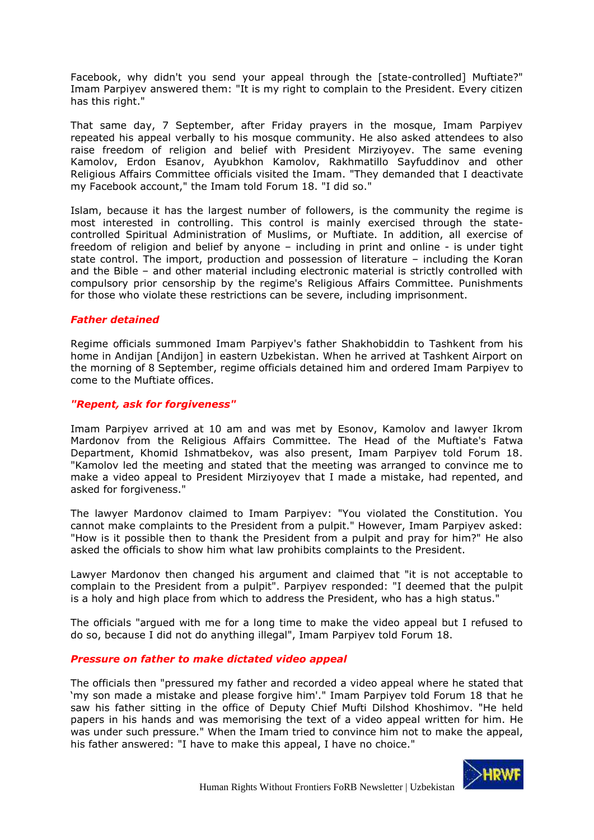Facebook, why didn't you send your appeal through the [state-controlled] Muftiate?" Imam Parpiyev answered them: "It is my right to complain to the President. Every citizen has this right."

That same day, 7 September, after Friday prayers in the mosque, Imam Parpiyev repeated his appeal verbally to his mosque community. He also asked attendees to also raise freedom of religion and belief with President Mirziyoyev. The same evening Kamolov, Erdon Esanov, Ayubkhon Kamolov, Rakhmatillo Sayfuddinov and other Religious Affairs Committee officials visited the Imam. "They demanded that I deactivate my Facebook account," the Imam told Forum 18. "I did so."

Islam, because it has the largest number of followers, is the community the regime is most interested in controlling. This control is mainly exercised through the statecontrolled Spiritual Administration of Muslims, or Muftiate. In addition, all exercise of freedom of religion and belief by anyone – including in print and online - is under tight state control. The import, production and possession of literature – including the Koran and the Bible – and other material including electronic material is strictly controlled with compulsory prior censorship by the regime's Religious Affairs Committee. Punishments for those who violate these restrictions can be severe, including imprisonment.

#### *Father detained*

Regime officials summoned Imam Parpiyev's father Shakhobiddin to Tashkent from his home in Andijan [Andijon] in eastern Uzbekistan. When he arrived at Tashkent Airport on the morning of 8 September, regime officials detained him and ordered Imam Parpiyev to come to the Muftiate offices.

# *"Repent, ask for forgiveness"*

Imam Parpiyev arrived at 10 am and was met by Esonov, Kamolov and lawyer Ikrom Mardonov from the Religious Affairs Committee. The Head of the Muftiate's Fatwa Department, Khomid Ishmatbekov, was also present, Imam Parpiyev told Forum 18. "Kamolov led the meeting and stated that the meeting was arranged to convince me to make a video appeal to President Mirziyoyev that I made a mistake, had repented, and asked for forgiveness."

The lawyer Mardonov claimed to Imam Parpiyev: "You violated the Constitution. You cannot make complaints to the President from a pulpit." However, Imam Parpiyev asked: "How is it possible then to thank the President from a pulpit and pray for him?" He also asked the officials to show him what law prohibits complaints to the President.

Lawyer Mardonov then changed his argument and claimed that "it is not acceptable to complain to the President from a pulpit". Parpiyev responded: "I deemed that the pulpit is a holy and high place from which to address the President, who has a high status."

The officials "argued with me for a long time to make the video appeal but I refused to do so, because I did not do anything illegal", Imam Parpiyev told Forum 18.

#### *Pressure on father to make dictated video appeal*

The officials then "pressured my father and recorded a video appeal where he stated that 'my son made a mistake and please forgive him'." Imam Parpiyev told Forum 18 that he saw his father sitting in the office of Deputy Chief Mufti Dilshod Khoshimov. "He held papers in his hands and was memorising the text of a video appeal written for him. He was under such pressure." When the Imam tried to convince him not to make the appeal, his father answered: "I have to make this appeal, I have no choice."

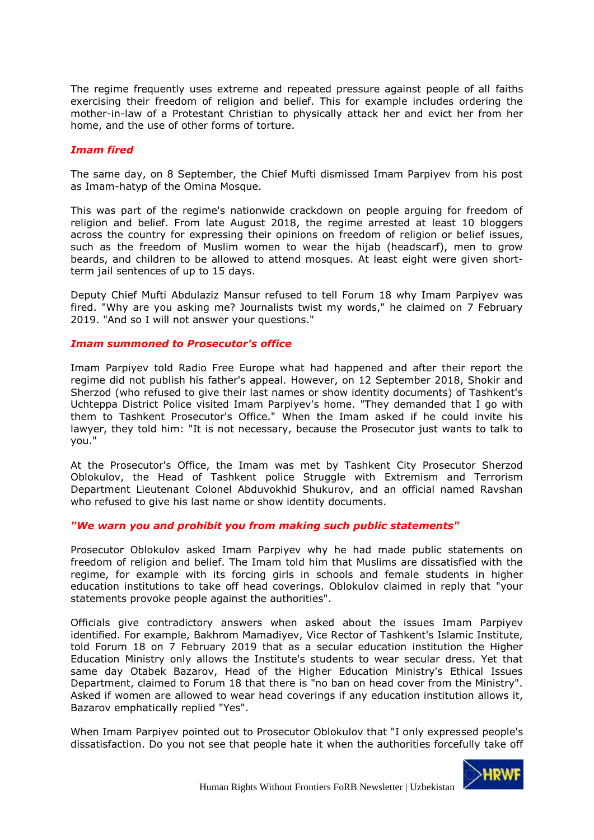The regime frequently uses extreme and repeated pressure against people of all faiths exercising their freedom of religion and belief. This for example includes ordering the mother-in-law of a Protestant Christian to physically attack her and evict her from her home, and the use of other forms of torture.

### *Imam fired*

The same day, on 8 September, the Chief Mufti dismissed Imam Parpiyev from his post as Imam-hatyp of the Omina Mosque.

This was part of the regime's nationwide crackdown on people arguing for freedom of religion and belief. From late August 2018, the regime arrested at least 10 bloggers across the country for expressing their opinions on freedom of religion or belief issues, such as the freedom of Muslim women to wear the hijab (headscarf), men to grow beards, and children to be allowed to attend mosques. At least eight were given shortterm jail sentences of up to 15 days.

Deputy Chief Mufti Abdulaziz Mansur refused to tell Forum 18 why Imam Parpiyev was fired. "Why are you asking me? Journalists twist my words," he claimed on 7 February 2019. "And so I will not answer your questions."

#### *Imam summoned to Prosecutor's office*

Imam Parpiyev told Radio Free Europe what had happened and after their report the regime did not publish his father's appeal. However, on 12 September 2018, Shokir and Sherzod (who refused to give their last names or show identity documents) of Tashkent's Uchteppa District Police visited Imam Parpiyev's home. "They demanded that I go with them to Tashkent Prosecutor's Office." When the Imam asked if he could invite his lawyer, they told him: "It is not necessary, because the Prosecutor just wants to talk to you."

At the Prosecutor's Office, the Imam was met by Tashkent City Prosecutor Sherzod Oblokulov, the Head of Tashkent police Struggle with Extremism and Terrorism Department Lieutenant Colonel Abduvokhid Shukurov, and an official named Ravshan who refused to give his last name or show identity documents.

#### *"We warn you and prohibit you from making such public statements"*

Prosecutor Oblokulov asked Imam Parpiyev why he had made public statements on freedom of religion and belief. The Imam told him that Muslims are dissatisfied with the regime, for example with its forcing girls in schools and female students in higher education institutions to take off head coverings. Oblokulov claimed in reply that "your statements provoke people against the authorities".

Officials give contradictory answers when asked about the issues Imam Parpiyev identified. For example, Bakhrom Mamadiyev, Vice Rector of Tashkent's Islamic Institute, told Forum 18 on 7 February 2019 that as a secular education institution the Higher Education Ministry only allows the Institute's students to wear secular dress. Yet that same day Otabek Bazarov, Head of the Higher Education Ministry's Ethical Issues Department, claimed to Forum 18 that there is "no ban on head cover from the Ministry". Asked if women are allowed to wear head coverings if any education institution allows it, Bazarov emphatically replied "Yes".

When Imam Parpiyev pointed out to Prosecutor Oblokulov that "I only expressed people's dissatisfaction. Do you not see that people hate it when the authorities forcefully take off

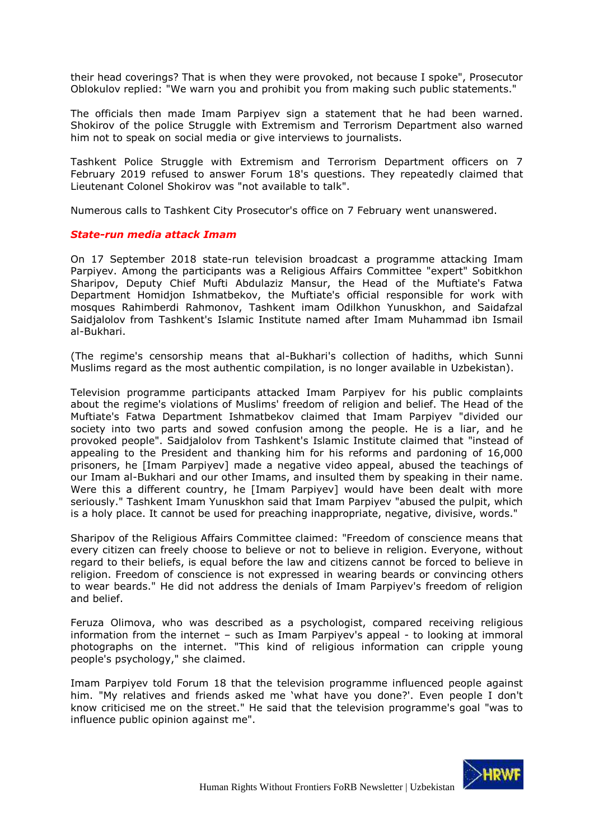their head coverings? That is when they were provoked, not because I spoke", Prosecutor Oblokulov replied: "We warn you and prohibit you from making such public statements."

The officials then made Imam Parpiyev sign a statement that he had been warned. Shokirov of the police Struggle with Extremism and Terrorism Department also warned him not to speak on social media or give interviews to journalists.

Tashkent Police Struggle with Extremism and Terrorism Department officers on 7 February 2019 refused to answer Forum 18's questions. They repeatedly claimed that Lieutenant Colonel Shokirov was "not available to talk".

Numerous calls to Tashkent City Prosecutor's office on 7 February went unanswered.

#### *State-run media attack Imam*

On 17 September 2018 state-run television broadcast a programme attacking Imam Parpiyev. Among the participants was a Religious Affairs Committee "expert" Sobitkhon Sharipov, Deputy Chief Mufti Abdulaziz Mansur, the Head of the Muftiate's Fatwa Department Homidjon Ishmatbekov, the Muftiate's official responsible for work with mosques Rahimberdi Rahmonov, Tashkent imam Odilkhon Yunuskhon, and Saidafzal Saidjalolov from Tashkent's Islamic Institute named after Imam Muhammad ibn Ismail al-Bukhari.

(The regime's censorship means that al-Bukhari's collection of hadiths, which Sunni Muslims regard as the most authentic compilation, is no longer available in Uzbekistan).

Television programme participants attacked Imam Parpiyev for his public complaints about the regime's violations of Muslims' freedom of religion and belief. The Head of the Muftiate's Fatwa Department Ishmatbekov claimed that Imam Parpiyev "divided our society into two parts and sowed confusion among the people. He is a liar, and he provoked people". Saidjalolov from Tashkent's Islamic Institute claimed that "instead of appealing to the President and thanking him for his reforms and pardoning of 16,000 prisoners, he [Imam Parpiyev] made a negative video appeal, abused the teachings of our Imam al-Bukhari and our other Imams, and insulted them by speaking in their name. Were this a different country, he [Imam Parpiyev] would have been dealt with more seriously." Tashkent Imam Yunuskhon said that Imam Parpiyev "abused the pulpit, which is a holy place. It cannot be used for preaching inappropriate, negative, divisive, words."

Sharipov of the Religious Affairs Committee claimed: "Freedom of conscience means that every citizen can freely choose to believe or not to believe in religion. Everyone, without regard to their beliefs, is equal before the law and citizens cannot be forced to believe in religion. Freedom of conscience is not expressed in wearing beards or convincing others to wear beards." He did not address the denials of Imam Parpiyev's freedom of religion and belief.

Feruza Olimova, who was described as a psychologist, compared receiving religious information from the internet – such as Imam Parpiyev's appeal - to looking at immoral photographs on the internet. "This kind of religious information can cripple young people's psychology," she claimed.

Imam Parpiyev told Forum 18 that the television programme influenced people against him. "My relatives and friends asked me 'what have you done?'. Even people I don't know criticised me on the street." He said that the television programme's goal "was to influence public opinion against me".

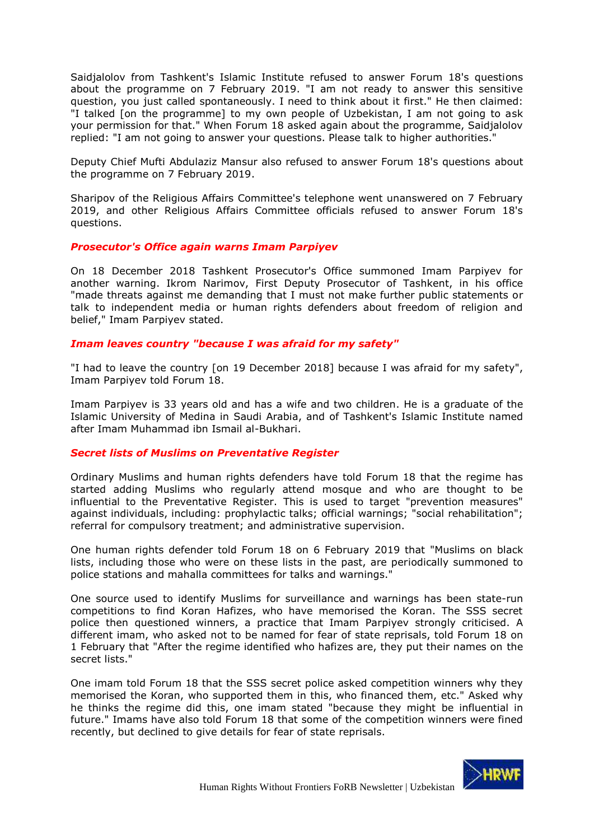Saidjalolov from Tashkent's Islamic Institute refused to answer Forum 18's questions about the programme on 7 February 2019. "I am not ready to answer this sensitive question, you just called spontaneously. I need to think about it first." He then claimed: "I talked [on the programme] to my own people of Uzbekistan, I am not going to ask your permission for that." When Forum 18 asked again about the programme, Saidjalolov replied: "I am not going to answer your questions. Please talk to higher authorities."

Deputy Chief Mufti Abdulaziz Mansur also refused to answer Forum 18's questions about the programme on 7 February 2019.

Sharipov of the Religious Affairs Committee's telephone went unanswered on 7 February 2019, and other Religious Affairs Committee officials refused to answer Forum 18's questions.

#### *Prosecutor's Office again warns Imam Parpiyev*

On 18 December 2018 Tashkent Prosecutor's Office summoned Imam Parpiyev for another warning. Ikrom Narimov, First Deputy Prosecutor of Tashkent, in his office "made threats against me demanding that I must not make further public statements or talk to independent media or human rights defenders about freedom of religion and belief," Imam Parpiyev stated.

#### *Imam leaves country "because I was afraid for my safety"*

"I had to leave the country [on 19 December 2018] because I was afraid for my safety", Imam Parpiyev told Forum 18.

Imam Parpiyev is 33 years old and has a wife and two children. He is a graduate of the Islamic University of Medina in Saudi Arabia, and of Tashkent's Islamic Institute named after Imam Muhammad ibn Ismail al-Bukhari.

#### *Secret lists of Muslims on Preventative Register*

Ordinary Muslims and human rights defenders have told Forum 18 that the regime has started adding Muslims who regularly attend mosque and who are thought to be influential to the Preventative Register. This is used to target "prevention measures" against individuals, including: prophylactic talks; official warnings; "social rehabilitation"; referral for compulsory treatment; and administrative supervision.

One human rights defender told Forum 18 on 6 February 2019 that "Muslims on black lists, including those who were on these lists in the past, are periodically summoned to police stations and mahalla committees for talks and warnings."

One source used to identify Muslims for surveillance and warnings has been state-run competitions to find Koran Hafizes, who have memorised the Koran. The SSS secret police then questioned winners, a practice that Imam Parpiyev strongly criticised. A different imam, who asked not to be named for fear of state reprisals, told Forum 18 on 1 February that "After the regime identified who hafizes are, they put their names on the secret lists."

One imam told Forum 18 that the SSS secret police asked competition winners why they memorised the Koran, who supported them in this, who financed them, etc." Asked why he thinks the regime did this, one imam stated "because they might be influential in future." Imams have also told Forum 18 that some of the competition winners were fined recently, but declined to give details for fear of state reprisals.

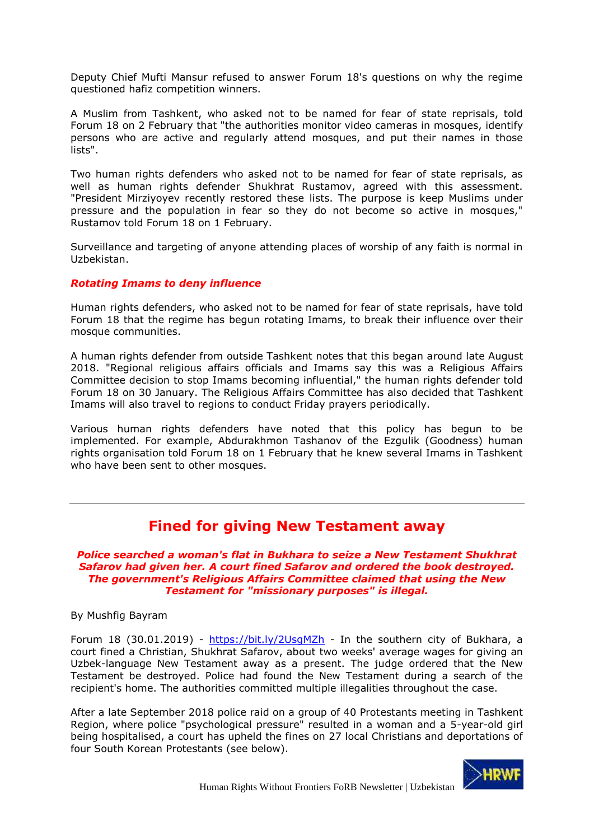Deputy Chief Mufti Mansur refused to answer Forum 18's questions on why the regime questioned hafiz competition winners.

A Muslim from Tashkent, who asked not to be named for fear of state reprisals, told Forum 18 on 2 February that "the authorities monitor video cameras in mosques, identify persons who are active and regularly attend mosques, and put their names in those lists".

Two human rights defenders who asked not to be named for fear of state reprisals, as well as human rights defender Shukhrat Rustamov, agreed with this assessment. "President Mirziyoyev recently restored these lists. The purpose is keep Muslims under pressure and the population in fear so they do not become so active in mosques," Rustamov told Forum 18 on 1 February.

Surveillance and targeting of anyone attending places of worship of any faith is normal in Uzbekistan.

# *Rotating Imams to deny influence*

Human rights defenders, who asked not to be named for fear of state reprisals, have told Forum 18 that the regime has begun rotating Imams, to break their influence over their mosque communities.

A human rights defender from outside Tashkent notes that this began around late August 2018. "Regional religious affairs officials and Imams say this was a Religious Affairs Committee decision to stop Imams becoming influential," the human rights defender told Forum 18 on 30 January. The Religious Affairs Committee has also decided that Tashkent Imams will also travel to regions to conduct Friday prayers periodically.

Various human rights defenders have noted that this policy has begun to be implemented. For example, Abdurakhmon Tashanov of the Ezgulik (Goodness) human rights organisation told Forum 18 on 1 February that he knew several Imams in Tashkent who have been sent to other mosques.

# **Fined for giving New Testament away**

<span id="page-44-0"></span>*Police searched a woman's flat in Bukhara to seize a New Testament Shukhrat Safarov had given her. A court fined Safarov and ordered the book destroyed. The government's Religious Affairs Committee claimed that using the New Testament for "missionary purposes" is illegal.*

By Mushfig Bayram

Forum 18 (30.01.2019) - <https://bit.ly/2UsgMZh> - In the southern city of Bukhara, a court fined a Christian, Shukhrat Safarov, about two weeks' average wages for giving an Uzbek-language New Testament away as a present. The judge ordered that the New Testament be destroyed. Police had found the New Testament during a search of the recipient's home. The authorities committed multiple illegalities throughout the case.

After a late September 2018 police raid on a group of 40 Protestants meeting in Tashkent Region, where police "psychological pressure" resulted in a woman and a 5-year-old girl being hospitalised, a court has upheld the fines on 27 local Christians and deportations of four South Korean Protestants (see below).

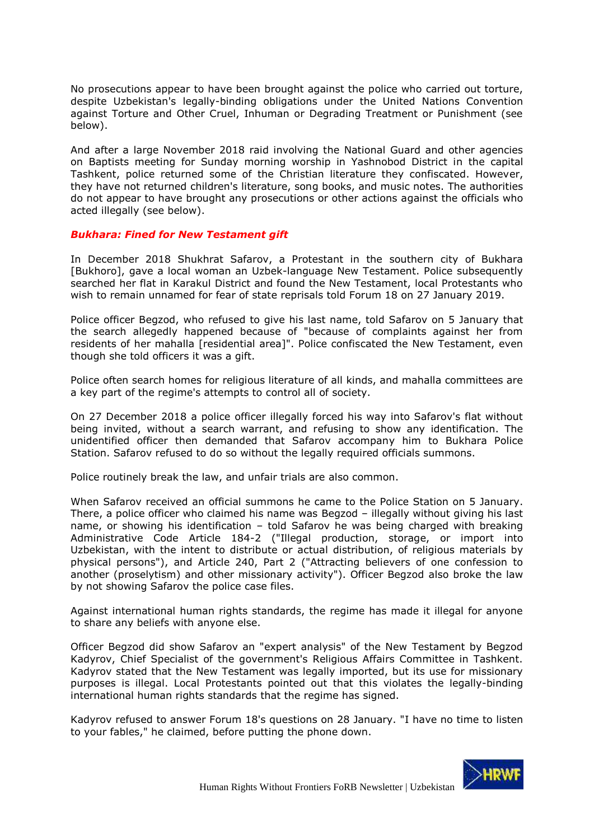No prosecutions appear to have been brought against the police who carried out torture, despite Uzbekistan's legally-binding obligations under the United Nations Convention against Torture and Other Cruel, Inhuman or Degrading Treatment or Punishment (see below).

And after a large November 2018 raid involving the National Guard and other agencies on Baptists meeting for Sunday morning worship in Yashnobod District in the capital Tashkent, police returned some of the Christian literature they confiscated. However, they have not returned children's literature, song books, and music notes. The authorities do not appear to have brought any prosecutions or other actions against the officials who acted illegally (see below).

#### *Bukhara: Fined for New Testament gift*

In December 2018 Shukhrat Safarov, a Protestant in the southern city of Bukhara [Bukhoro], gave a local woman an Uzbek-language New Testament. Police subsequently searched her flat in Karakul District and found the New Testament, local Protestants who wish to remain unnamed for fear of state reprisals told Forum 18 on 27 January 2019.

Police officer Begzod, who refused to give his last name, told Safarov on 5 January that the search allegedly happened because of "because of complaints against her from residents of her mahalla [residential area]". Police confiscated the New Testament, even though she told officers it was a gift.

Police often search homes for religious literature of all kinds, and mahalla committees are a key part of the regime's attempts to control all of society.

On 27 December 2018 a police officer illegally forced his way into Safarov's flat without being invited, without a search warrant, and refusing to show any identification. The unidentified officer then demanded that Safarov accompany him to Bukhara Police Station. Safarov refused to do so without the legally required officials summons.

Police routinely break the law, and unfair trials are also common.

When Safarov received an official summons he came to the Police Station on 5 January. There, a police officer who claimed his name was Begzod – illegally without giving his last name, or showing his identification – told Safarov he was being charged with breaking Administrative Code Article 184-2 ("Illegal production, storage, or import into Uzbekistan, with the intent to distribute or actual distribution, of religious materials by physical persons"), and Article 240, Part 2 ("Attracting believers of one confession to another (proselytism) and other missionary activity"). Officer Begzod also broke the law by not showing Safarov the police case files.

Against international human rights standards, the regime has made it illegal for anyone to share any beliefs with anyone else.

Officer Begzod did show Safarov an "expert analysis" of the New Testament by Begzod Kadyrov, Chief Specialist of the government's Religious Affairs Committee in Tashkent. Kadyrov stated that the New Testament was legally imported, but its use for missionary purposes is illegal. Local Protestants pointed out that this violates the legally-binding international human rights standards that the regime has signed.

Kadyrov refused to answer Forum 18's questions on 28 January. "I have no time to listen to your fables," he claimed, before putting the phone down.

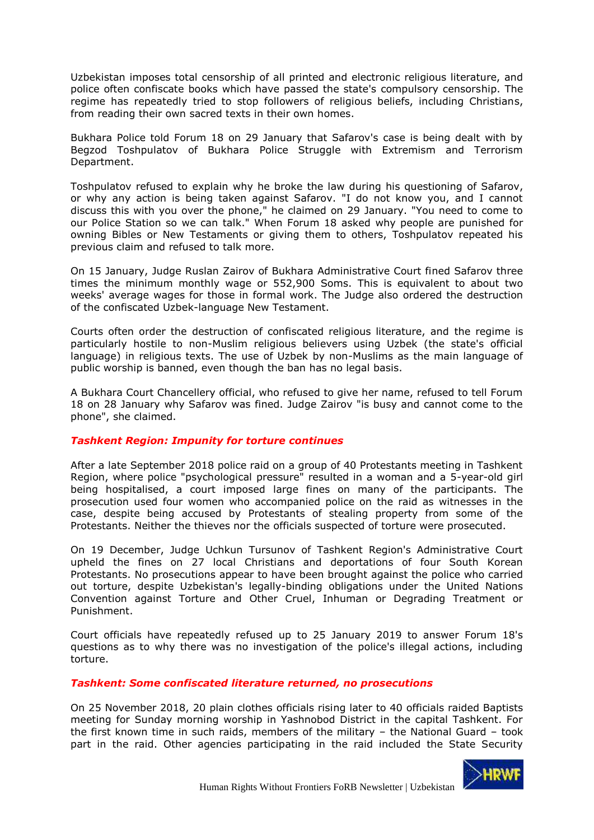Uzbekistan imposes total censorship of all printed and electronic religious literature, and police often confiscate books which have passed the state's compulsory censorship. The regime has repeatedly tried to stop followers of religious beliefs, including Christians, from reading their own sacred texts in their own homes.

Bukhara Police told Forum 18 on 29 January that Safarov's case is being dealt with by Begzod Toshpulatov of Bukhara Police Struggle with Extremism and Terrorism Department.

Toshpulatov refused to explain why he broke the law during his questioning of Safarov, or why any action is being taken against Safarov. "I do not know you, and I cannot discuss this with you over the phone," he claimed on 29 January. "You need to come to our Police Station so we can talk." When Forum 18 asked why people are punished for owning Bibles or New Testaments or giving them to others, Toshpulatov repeated his previous claim and refused to talk more.

On 15 January, Judge Ruslan Zairov of Bukhara Administrative Court fined Safarov three times the minimum monthly wage or 552,900 Soms. This is equivalent to about two weeks' average wages for those in formal work. The Judge also ordered the destruction of the confiscated Uzbek-language New Testament.

Courts often order the destruction of confiscated religious literature, and the regime is particularly hostile to non-Muslim religious believers using Uzbek (the state's official language) in religious texts. The use of Uzbek by non-Muslims as the main language of public worship is banned, even though the ban has no legal basis.

A Bukhara Court Chancellery official, who refused to give her name, refused to tell Forum 18 on 28 January why Safarov was fined. Judge Zairov "is busy and cannot come to the phone", she claimed.

# *Tashkent Region: Impunity for torture continues*

After a late September 2018 police raid on a group of 40 Protestants meeting in Tashkent Region, where police "psychological pressure" resulted in a woman and a 5-year-old girl being hospitalised, a court imposed large fines on many of the participants. The prosecution used four women who accompanied police on the raid as witnesses in the case, despite being accused by Protestants of stealing property from some of the Protestants. Neither the thieves nor the officials suspected of torture were prosecuted.

On 19 December, Judge Uchkun Tursunov of Tashkent Region's Administrative Court upheld the fines on 27 local Christians and deportations of four South Korean Protestants. No prosecutions appear to have been brought against the police who carried out torture, despite Uzbekistan's legally-binding obligations under the United Nations Convention against Torture and Other Cruel, Inhuman or Degrading Treatment or Punishment.

Court officials have repeatedly refused up to 25 January 2019 to answer Forum 18's questions as to why there was no investigation of the police's illegal actions, including torture.

#### *Tashkent: Some confiscated literature returned, no prosecutions*

On 25 November 2018, 20 plain clothes officials rising later to 40 officials raided Baptists meeting for Sunday morning worship in Yashnobod District in the capital Tashkent. For the first known time in such raids, members of the military – the National Guard – took part in the raid. Other agencies participating in the raid included the State Security